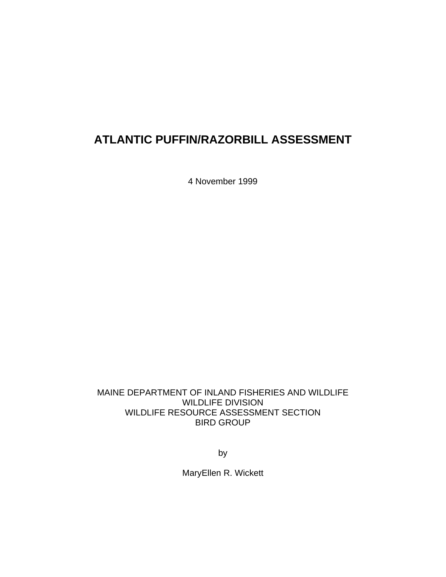# **ATLANTIC PUFFIN/RAZORBILL ASSESSMENT**

4 November 1999

MAINE DEPARTMENT OF INLAND FISHERIES AND WILDLIFE WILDLIFE DIVISION WILDLIFE RESOURCE ASSESSMENT SECTION BIRD GROUP

by

MaryEllen R. Wickett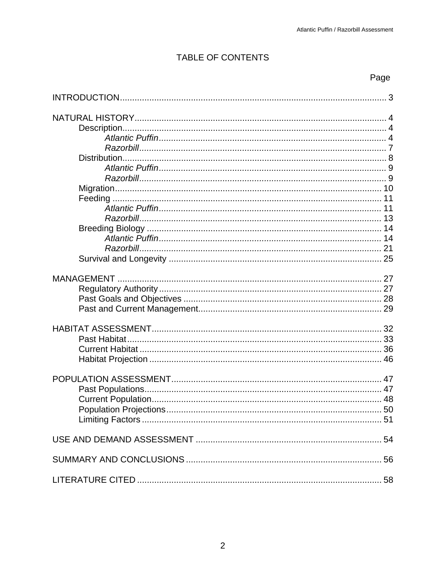# TABLE OF CONTENTS

## Page

| 11 |
|----|
|    |
|    |
|    |
|    |
|    |
|    |
|    |
|    |
|    |
|    |
|    |
|    |
|    |
|    |
|    |
|    |
|    |
|    |
|    |
|    |
|    |
|    |
|    |
|    |
|    |
|    |
|    |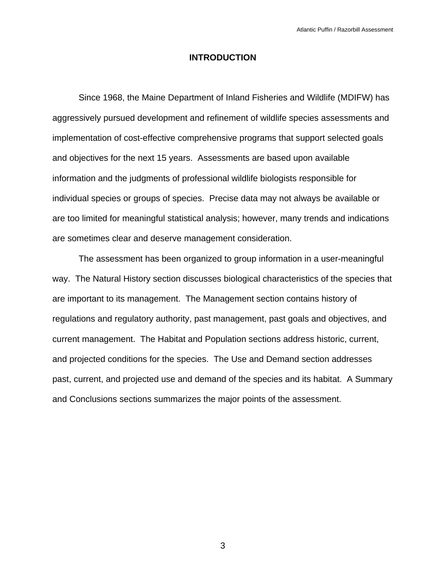## **INTRODUCTION**

 Since 1968, the Maine Department of Inland Fisheries and Wildlife (MDIFW) has aggressively pursued development and refinement of wildlife species assessments and implementation of cost-effective comprehensive programs that support selected goals and objectives for the next 15 years. Assessments are based upon available information and the judgments of professional wildlife biologists responsible for individual species or groups of species. Precise data may not always be available or are too limited for meaningful statistical analysis; however, many trends and indications are sometimes clear and deserve management consideration.

 The assessment has been organized to group information in a user-meaningful way. The Natural History section discusses biological characteristics of the species that are important to its management. The Management section contains history of regulations and regulatory authority, past management, past goals and objectives, and current management. The Habitat and Population sections address historic, current, and projected conditions for the species. The Use and Demand section addresses past, current, and projected use and demand of the species and its habitat. A Summary and Conclusions sections summarizes the major points of the assessment.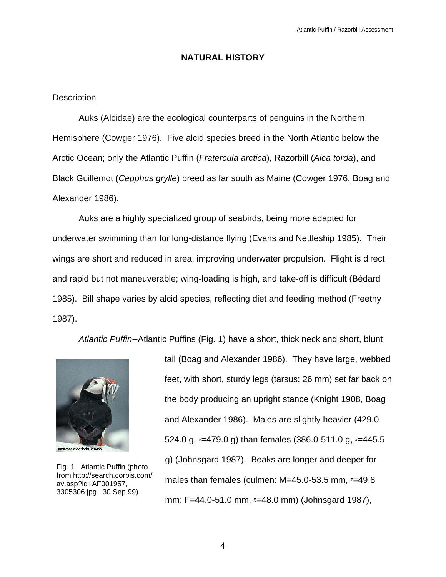## **NATURAL HISTORY**

## **Description**

 Auks (Alcidae) are the ecological counterparts of penguins in the Northern Hemisphere (Cowger 1976). Five alcid species breed in the North Atlantic below the Arctic Ocean; only the Atlantic Puffin (*Fratercula arctica*), Razorbill (*Alca torda*), and Black Guillemot (*Cepphus grylle*) breed as far south as Maine (Cowger 1976, Boag and Alexander 1986).

 Auks are a highly specialized group of seabirds, being more adapted for underwater swimming than for long-distance flying (Evans and Nettleship 1985). Their wings are short and reduced in area, improving underwater propulsion. Flight is direct and rapid but not maneuverable; wing-loading is high, and take-off is difficult (Bédard 1985). Bill shape varies by alcid species, reflecting diet and feeding method (Freethy 1987).

*Atlantic Puffin*--Atlantic Puffins (Fig. 1) have a short, thick neck and short, blunt



Fig. 1. Atlantic Puffin (photo from http://search.corbis.com/ av.asp?id+AF001957, 3305306.jpg. 30 Sep 99)

tail (Boag and Alexander 1986). They have large, webbed feet, with short, sturdy legs (tarsus: 26 mm) set far back on the body producing an upright stance (Knight 1908, Boag and Alexander 1986). Males are slightly heavier (429.0- 524.0 g, *x*=479.0 g) than females (386.0-511.0 g, *x*=445.5 g) (Johnsgard 1987). Beaks are longer and deeper for males than females (culmen: M=45.0-53.5 mm, *x*=49.8 mm; F=44.0-51.0 mm, *x*=48.0 mm) (Johnsgard 1987),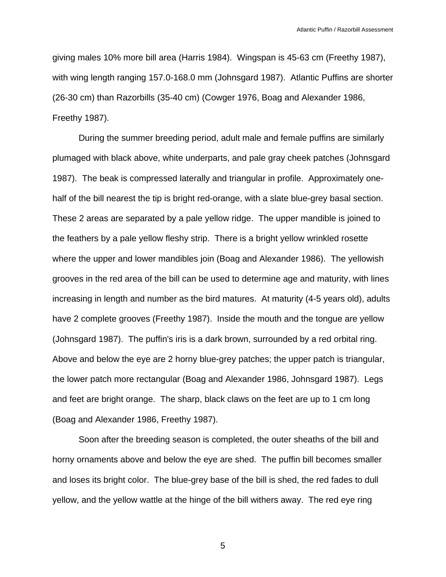giving males 10% more bill area (Harris 1984). Wingspan is 45-63 cm (Freethy 1987), with wing length ranging 157.0-168.0 mm (Johnsgard 1987). Atlantic Puffins are shorter (26-30 cm) than Razorbills (35-40 cm) (Cowger 1976, Boag and Alexander 1986, Freethy 1987).

 During the summer breeding period, adult male and female puffins are similarly plumaged with black above, white underparts, and pale gray cheek patches (Johnsgard 1987). The beak is compressed laterally and triangular in profile. Approximately onehalf of the bill nearest the tip is bright red-orange, with a slate blue-grey basal section. These 2 areas are separated by a pale yellow ridge. The upper mandible is joined to the feathers by a pale yellow fleshy strip. There is a bright yellow wrinkled rosette where the upper and lower mandibles join (Boag and Alexander 1986). The yellowish grooves in the red area of the bill can be used to determine age and maturity, with lines increasing in length and number as the bird matures. At maturity (4-5 years old), adults have 2 complete grooves (Freethy 1987). Inside the mouth and the tongue are yellow (Johnsgard 1987). The puffin's iris is a dark brown, surrounded by a red orbital ring. Above and below the eye are 2 horny blue-grey patches; the upper patch is triangular, the lower patch more rectangular (Boag and Alexander 1986, Johnsgard 1987). Legs and feet are bright orange. The sharp, black claws on the feet are up to 1 cm long (Boag and Alexander 1986, Freethy 1987).

 Soon after the breeding season is completed, the outer sheaths of the bill and horny ornaments above and below the eye are shed. The puffin bill becomes smaller and loses its bright color. The blue-grey base of the bill is shed, the red fades to dull yellow, and the yellow wattle at the hinge of the bill withers away. The red eye ring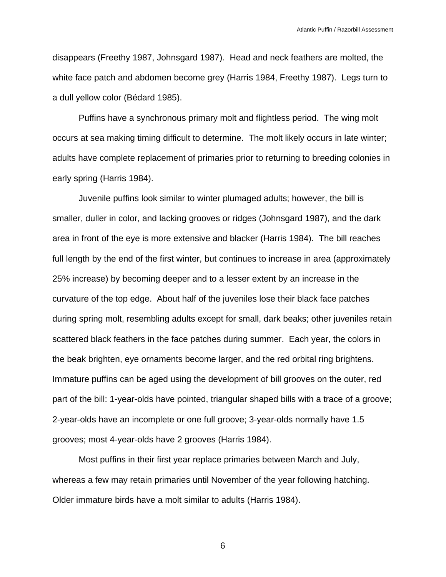disappears (Freethy 1987, Johnsgard 1987). Head and neck feathers are molted, the white face patch and abdomen become grey (Harris 1984, Freethy 1987). Legs turn to a dull yellow color (Bédard 1985).

 Puffins have a synchronous primary molt and flightless period. The wing molt occurs at sea making timing difficult to determine. The molt likely occurs in late winter; adults have complete replacement of primaries prior to returning to breeding colonies in early spring (Harris 1984).

 Juvenile puffins look similar to winter plumaged adults; however, the bill is smaller, duller in color, and lacking grooves or ridges (Johnsgard 1987), and the dark area in front of the eye is more extensive and blacker (Harris 1984). The bill reaches full length by the end of the first winter, but continues to increase in area (approximately 25% increase) by becoming deeper and to a lesser extent by an increase in the curvature of the top edge. About half of the juveniles lose their black face patches during spring molt, resembling adults except for small, dark beaks; other juveniles retain scattered black feathers in the face patches during summer. Each year, the colors in the beak brighten, eye ornaments become larger, and the red orbital ring brightens. Immature puffins can be aged using the development of bill grooves on the outer, red part of the bill: 1-year-olds have pointed, triangular shaped bills with a trace of a groove; 2-year-olds have an incomplete or one full groove; 3-year-olds normally have 1.5 grooves; most 4-year-olds have 2 grooves (Harris 1984).

 Most puffins in their first year replace primaries between March and July, whereas a few may retain primaries until November of the year following hatching. Older immature birds have a molt similar to adults (Harris 1984).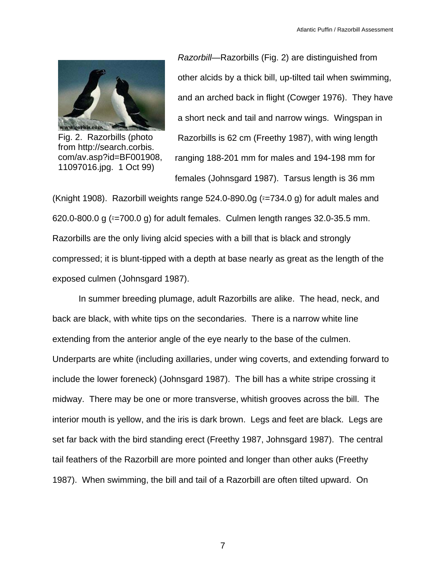

Fig. 2. Razorbills (photo from http://search.corbis. com/av.asp?id=BF001908, 11097016.jpg. 1 Oct 99)

*Razorbill*—Razorbills (Fig. 2) are distinguished from other alcids by a thick bill, up-tilted tail when swimming, and an arched back in flight (Cowger 1976). They have a short neck and tail and narrow wings. Wingspan in Razorbills is 62 cm (Freethy 1987), with wing length ranging 188-201 mm for males and 194-198 mm for females (Johnsgard 1987). Tarsus length is 36 mm

(Knight 1908). Razorbill weights range 524.0-890.0g (*x*=734.0 g) for adult males and 620.0-800.0 g (*x*=700.0 g) for adult females. Culmen length ranges 32.0-35.5 mm. Razorbills are the only living alcid species with a bill that is black and strongly compressed; it is blunt-tipped with a depth at base nearly as great as the length of the exposed culmen (Johnsgard 1987).

 In summer breeding plumage, adult Razorbills are alike. The head, neck, and back are black, with white tips on the secondaries. There is a narrow white line extending from the anterior angle of the eye nearly to the base of the culmen. Underparts are white (including axillaries, under wing coverts, and extending forward to include the lower foreneck) (Johnsgard 1987). The bill has a white stripe crossing it midway. There may be one or more transverse, whitish grooves across the bill. The interior mouth is yellow, and the iris is dark brown. Legs and feet are black. Legs are set far back with the bird standing erect (Freethy 1987, Johnsgard 1987). The central tail feathers of the Razorbill are more pointed and longer than other auks (Freethy 1987). When swimming, the bill and tail of a Razorbill are often tilted upward. On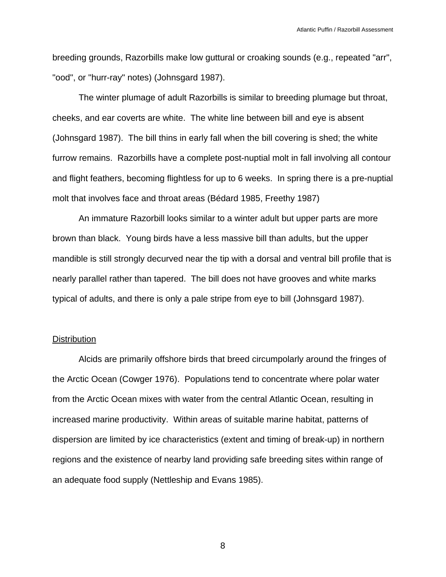breeding grounds, Razorbills make low guttural or croaking sounds (e.g., repeated "arr", "ood", or "hurr-ray" notes) (Johnsgard 1987).

 The winter plumage of adult Razorbills is similar to breeding plumage but throat, cheeks, and ear coverts are white. The white line between bill and eye is absent (Johnsgard 1987). The bill thins in early fall when the bill covering is shed; the white furrow remains. Razorbills have a complete post-nuptial molt in fall involving all contour and flight feathers, becoming flightless for up to 6 weeks. In spring there is a pre-nuptial molt that involves face and throat areas (Bédard 1985, Freethy 1987)

 An immature Razorbill looks similar to a winter adult but upper parts are more brown than black. Young birds have a less massive bill than adults, but the upper mandible is still strongly decurved near the tip with a dorsal and ventral bill profile that is nearly parallel rather than tapered. The bill does not have grooves and white marks typical of adults, and there is only a pale stripe from eye to bill (Johnsgard 1987).

#### **Distribution**

 Alcids are primarily offshore birds that breed circumpolarly around the fringes of the Arctic Ocean (Cowger 1976). Populations tend to concentrate where polar water from the Arctic Ocean mixes with water from the central Atlantic Ocean, resulting in increased marine productivity. Within areas of suitable marine habitat, patterns of dispersion are limited by ice characteristics (extent and timing of break-up) in northern regions and the existence of nearby land providing safe breeding sites within range of an adequate food supply (Nettleship and Evans 1985).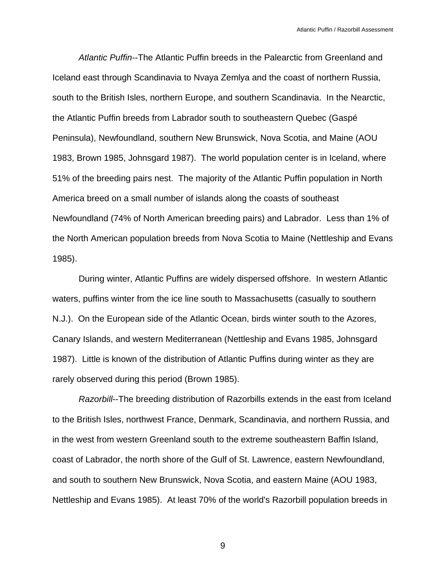*Atlantic Puffin*--The Atlantic Puffin breeds in the Palearctic from Greenland and Iceland east through Scandinavia to Nvaya Zemlya and the coast of northern Russia, south to the British Isles, northern Europe, and southern Scandinavia. In the Nearctic, the Atlantic Puffin breeds from Labrador south to southeastern Quebec (Gaspé Peninsula), Newfoundland, southern New Brunswick, Nova Scotia, and Maine (AOU 1983, Brown 1985, Johnsgard 1987). The world population center is in Iceland, where 51% of the breeding pairs nest. The majority of the Atlantic Puffin population in North America breed on a small number of islands along the coasts of southeast Newfoundland (74% of North American breeding pairs) and Labrador. Less than 1% of the North American population breeds from Nova Scotia to Maine (Nettleship and Evans 1985).

 During winter, Atlantic Puffins are widely dispersed offshore. In western Atlantic waters, puffins winter from the ice line south to Massachusetts (casually to southern N.J.). On the European side of the Atlantic Ocean, birds winter south to the Azores, Canary Islands, and western Mediterranean (Nettleship and Evans 1985, Johnsgard 1987). Little is known of the distribution of Atlantic Puffins during winter as they are rarely observed during this period (Brown 1985).

*Razorbill*--The breeding distribution of Razorbills extends in the east from Iceland to the British Isles, northwest France, Denmark, Scandinavia, and northern Russia, and in the west from western Greenland south to the extreme southeastern Baffin Island, coast of Labrador, the north shore of the Gulf of St. Lawrence, eastern Newfoundland, and south to southern New Brunswick, Nova Scotia, and eastern Maine (AOU 1983, Nettleship and Evans 1985). At least 70% of the world's Razorbill population breeds in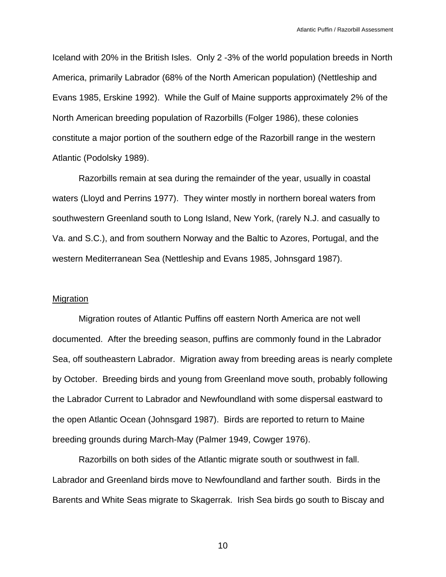Iceland with 20% in the British Isles. Only 2 -3% of the world population breeds in North America, primarily Labrador (68% of the North American population) (Nettleship and Evans 1985, Erskine 1992). While the Gulf of Maine supports approximately 2% of the North American breeding population of Razorbills (Folger 1986), these colonies constitute a major portion of the southern edge of the Razorbill range in the western Atlantic (Podolsky 1989).

 Razorbills remain at sea during the remainder of the year, usually in coastal waters (Lloyd and Perrins 1977). They winter mostly in northern boreal waters from southwestern Greenland south to Long Island, New York, (rarely N.J. and casually to Va. and S.C.), and from southern Norway and the Baltic to Azores, Portugal, and the western Mediterranean Sea (Nettleship and Evans 1985, Johnsgard 1987).

#### Migration

 Migration routes of Atlantic Puffins off eastern North America are not well documented. After the breeding season, puffins are commonly found in the Labrador Sea, off southeastern Labrador. Migration away from breeding areas is nearly complete by October. Breeding birds and young from Greenland move south, probably following the Labrador Current to Labrador and Newfoundland with some dispersal eastward to the open Atlantic Ocean (Johnsgard 1987). Birds are reported to return to Maine breeding grounds during March-May (Palmer 1949, Cowger 1976).

 Razorbills on both sides of the Atlantic migrate south or southwest in fall. Labrador and Greenland birds move to Newfoundland and farther south. Birds in the Barents and White Seas migrate to Skagerrak. Irish Sea birds go south to Biscay and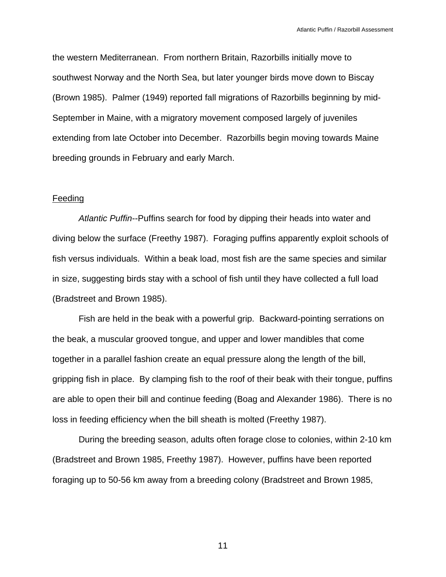the western Mediterranean. From northern Britain, Razorbills initially move to southwest Norway and the North Sea, but later younger birds move down to Biscay (Brown 1985). Palmer (1949) reported fall migrations of Razorbills beginning by mid-September in Maine, with a migratory movement composed largely of juveniles extending from late October into December. Razorbills begin moving towards Maine breeding grounds in February and early March.

## Feeding

*Atlantic Puffin*--Puffins search for food by dipping their heads into water and diving below the surface (Freethy 1987). Foraging puffins apparently exploit schools of fish versus individuals. Within a beak load, most fish are the same species and similar in size, suggesting birds stay with a school of fish until they have collected a full load (Bradstreet and Brown 1985).

 Fish are held in the beak with a powerful grip. Backward-pointing serrations on the beak, a muscular grooved tongue, and upper and lower mandibles that come together in a parallel fashion create an equal pressure along the length of the bill, gripping fish in place. By clamping fish to the roof of their beak with their tongue, puffins are able to open their bill and continue feeding (Boag and Alexander 1986). There is no loss in feeding efficiency when the bill sheath is molted (Freethy 1987).

 During the breeding season, adults often forage close to colonies, within 2-10 km (Bradstreet and Brown 1985, Freethy 1987). However, puffins have been reported foraging up to 50-56 km away from a breeding colony (Bradstreet and Brown 1985,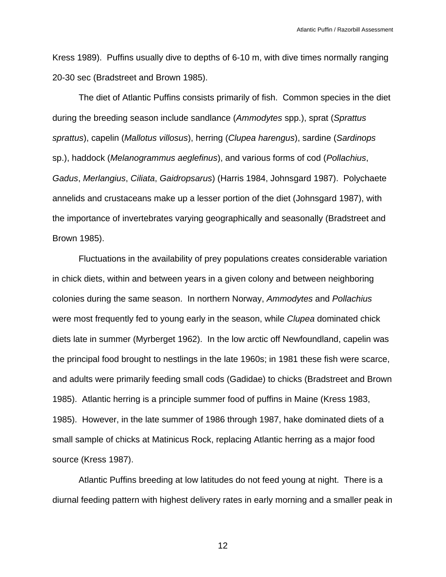Kress 1989). Puffins usually dive to depths of 6-10 m, with dive times normally ranging 20-30 sec (Bradstreet and Brown 1985).

 The diet of Atlantic Puffins consists primarily of fish. Common species in the diet during the breeding season include sandlance (*Ammodytes* spp.), sprat (*Sprattus sprattus*), capelin (*Mallotus villosus*), herring (*Clupea harengus*), sardine (*Sardinops* sp.), haddock (*Melanogrammus aeglefinus*), and various forms of cod (*Pollachius*, *Gadus*, *Merlangius*, *Ciliata*, *Gaidropsarus*) (Harris 1984, Johnsgard 1987). Polychaete annelids and crustaceans make up a lesser portion of the diet (Johnsgard 1987), with the importance of invertebrates varying geographically and seasonally (Bradstreet and Brown 1985).

 Fluctuations in the availability of prey populations creates considerable variation in chick diets, within and between years in a given colony and between neighboring colonies during the same season. In northern Norway, *Ammodytes* and *Pollachius* were most frequently fed to young early in the season, while *Clupea* dominated chick diets late in summer (Myrberget 1962). In the low arctic off Newfoundland, capelin was the principal food brought to nestlings in the late 1960s; in 1981 these fish were scarce, and adults were primarily feeding small cods (Gadidae) to chicks (Bradstreet and Brown 1985). Atlantic herring is a principle summer food of puffins in Maine (Kress 1983, 1985). However, in the late summer of 1986 through 1987, hake dominated diets of a small sample of chicks at Matinicus Rock, replacing Atlantic herring as a major food source (Kress 1987).

 Atlantic Puffins breeding at low latitudes do not feed young at night. There is a diurnal feeding pattern with highest delivery rates in early morning and a smaller peak in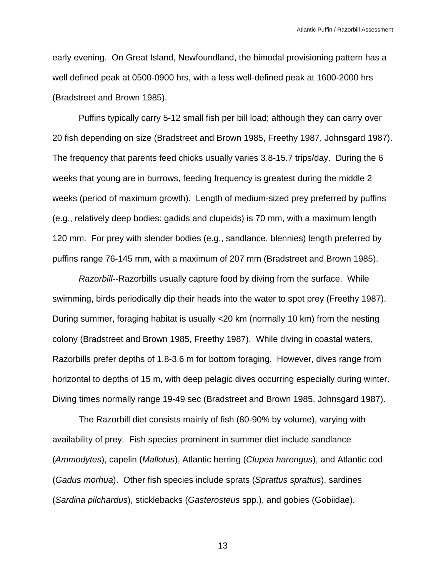early evening. On Great Island, Newfoundland, the bimodal provisioning pattern has a well defined peak at 0500-0900 hrs, with a less well-defined peak at 1600-2000 hrs (Bradstreet and Brown 1985).

 Puffins typically carry 5-12 small fish per bill load; although they can carry over 20 fish depending on size (Bradstreet and Brown 1985, Freethy 1987, Johnsgard 1987). The frequency that parents feed chicks usually varies 3.8-15.7 trips/day. During the 6 weeks that young are in burrows, feeding frequency is greatest during the middle 2 weeks (period of maximum growth). Length of medium-sized prey preferred by puffins (e.g., relatively deep bodies: gadids and clupeids) is 70 mm, with a maximum length 120 mm. For prey with slender bodies (e.g., sandlance, blennies) length preferred by puffins range 76-145 mm, with a maximum of 207 mm (Bradstreet and Brown 1985).

*Razorbill*--Razorbills usually capture food by diving from the surface. While swimming, birds periodically dip their heads into the water to spot prey (Freethy 1987). During summer, foraging habitat is usually <20 km (normally 10 km) from the nesting colony (Bradstreet and Brown 1985, Freethy 1987). While diving in coastal waters, Razorbills prefer depths of 1.8-3.6 m for bottom foraging. However, dives range from horizontal to depths of 15 m, with deep pelagic dives occurring especially during winter. Diving times normally range 19-49 sec (Bradstreet and Brown 1985, Johnsgard 1987).

 The Razorbill diet consists mainly of fish (80-90% by volume), varying with availability of prey. Fish species prominent in summer diet include sandlance (*Ammodytes*), capelin (*Mallotus*), Atlantic herring (*Clupea harengus*), and Atlantic cod (*Gadus morhua*). Other fish species include sprats (*Sprattus sprattus*), sardines (*Sardina pilchardus*), sticklebacks (*Gasterosteus* spp.), and gobies (Gobiidae).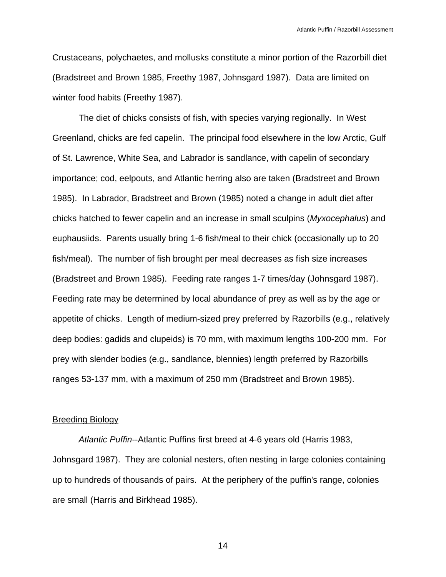Crustaceans, polychaetes, and mollusks constitute a minor portion of the Razorbill diet (Bradstreet and Brown 1985, Freethy 1987, Johnsgard 1987). Data are limited on winter food habits (Freethy 1987).

 The diet of chicks consists of fish, with species varying regionally. In West Greenland, chicks are fed capelin. The principal food elsewhere in the low Arctic, Gulf of St. Lawrence, White Sea, and Labrador is sandlance, with capelin of secondary importance; cod, eelpouts, and Atlantic herring also are taken (Bradstreet and Brown 1985). In Labrador, Bradstreet and Brown (1985) noted a change in adult diet after chicks hatched to fewer capelin and an increase in small sculpins (*Myxocephalus*) and euphausiids. Parents usually bring 1-6 fish/meal to their chick (occasionally up to 20 fish/meal). The number of fish brought per meal decreases as fish size increases (Bradstreet and Brown 1985). Feeding rate ranges 1-7 times/day (Johnsgard 1987). Feeding rate may be determined by local abundance of prey as well as by the age or appetite of chicks. Length of medium-sized prey preferred by Razorbills (e.g., relatively deep bodies: gadids and clupeids) is 70 mm, with maximum lengths 100-200 mm. For prey with slender bodies (e.g., sandlance, blennies) length preferred by Razorbills ranges 53-137 mm, with a maximum of 250 mm (Bradstreet and Brown 1985).

#### Breeding Biology

*Atlantic Puffin*--Atlantic Puffins first breed at 4-6 years old (Harris 1983, Johnsgard 1987). They are colonial nesters, often nesting in large colonies containing up to hundreds of thousands of pairs. At the periphery of the puffin's range, colonies are small (Harris and Birkhead 1985).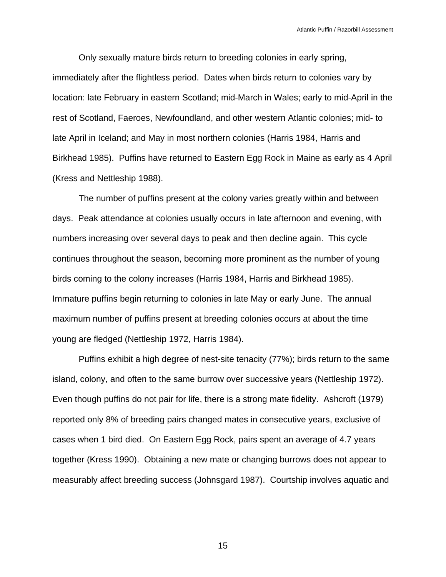Only sexually mature birds return to breeding colonies in early spring, immediately after the flightless period. Dates when birds return to colonies vary by location: late February in eastern Scotland; mid-March in Wales; early to mid-April in the rest of Scotland, Faeroes, Newfoundland, and other western Atlantic colonies; mid- to late April in Iceland; and May in most northern colonies (Harris 1984, Harris and Birkhead 1985). Puffins have returned to Eastern Egg Rock in Maine as early as 4 April (Kress and Nettleship 1988).

 The number of puffins present at the colony varies greatly within and between days. Peak attendance at colonies usually occurs in late afternoon and evening, with numbers increasing over several days to peak and then decline again. This cycle continues throughout the season, becoming more prominent as the number of young birds coming to the colony increases (Harris 1984, Harris and Birkhead 1985). Immature puffins begin returning to colonies in late May or early June. The annual maximum number of puffins present at breeding colonies occurs at about the time young are fledged (Nettleship 1972, Harris 1984).

 Puffins exhibit a high degree of nest-site tenacity (77%); birds return to the same island, colony, and often to the same burrow over successive years (Nettleship 1972). Even though puffins do not pair for life, there is a strong mate fidelity. Ashcroft (1979) reported only 8% of breeding pairs changed mates in consecutive years, exclusive of cases when 1 bird died. On Eastern Egg Rock, pairs spent an average of 4.7 years together (Kress 1990). Obtaining a new mate or changing burrows does not appear to measurably affect breeding success (Johnsgard 1987). Courtship involves aquatic and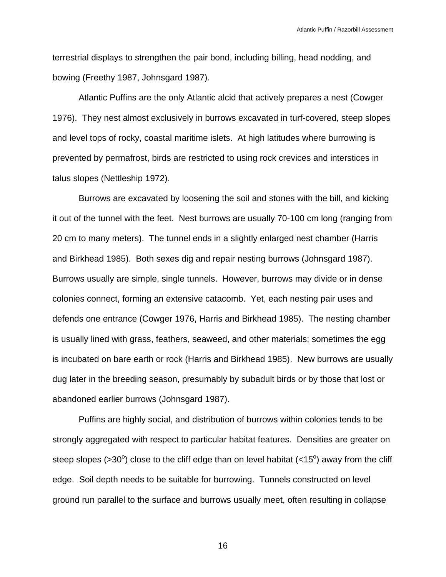terrestrial displays to strengthen the pair bond, including billing, head nodding, and bowing (Freethy 1987, Johnsgard 1987).

 Atlantic Puffins are the only Atlantic alcid that actively prepares a nest (Cowger 1976). They nest almost exclusively in burrows excavated in turf-covered, steep slopes and level tops of rocky, coastal maritime islets. At high latitudes where burrowing is prevented by permafrost, birds are restricted to using rock crevices and interstices in talus slopes (Nettleship 1972).

 Burrows are excavated by loosening the soil and stones with the bill, and kicking it out of the tunnel with the feet. Nest burrows are usually 70-100 cm long (ranging from 20 cm to many meters). The tunnel ends in a slightly enlarged nest chamber (Harris and Birkhead 1985). Both sexes dig and repair nesting burrows (Johnsgard 1987). Burrows usually are simple, single tunnels. However, burrows may divide or in dense colonies connect, forming an extensive catacomb. Yet, each nesting pair uses and defends one entrance (Cowger 1976, Harris and Birkhead 1985). The nesting chamber is usually lined with grass, feathers, seaweed, and other materials; sometimes the egg is incubated on bare earth or rock (Harris and Birkhead 1985). New burrows are usually dug later in the breeding season, presumably by subadult birds or by those that lost or abandoned earlier burrows (Johnsgard 1987).

 Puffins are highly social, and distribution of burrows within colonies tends to be strongly aggregated with respect to particular habitat features. Densities are greater on steep slopes (>30<sup>o</sup>) close to the cliff edge than on level habitat (<15<sup>o</sup>) away from the cliff edge. Soil depth needs to be suitable for burrowing. Tunnels constructed on level ground run parallel to the surface and burrows usually meet, often resulting in collapse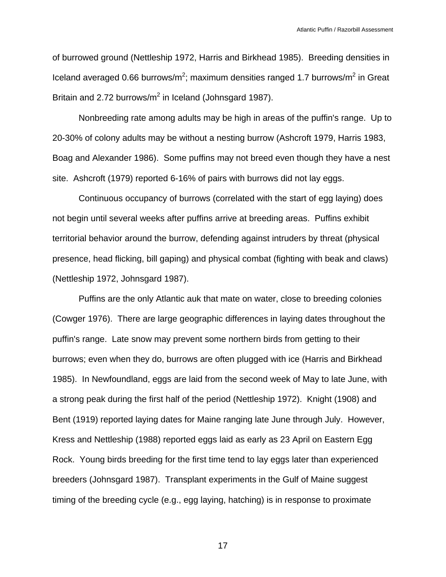of burrowed ground (Nettleship 1972, Harris and Birkhead 1985). Breeding densities in Iceland averaged 0.66 burrows/m<sup>2</sup>; maximum densities ranged 1.7 burrows/m<sup>2</sup> in Great Britain and 2.72 burrows/ $m^2$  in Iceland (Johnsgard 1987).

 Nonbreeding rate among adults may be high in areas of the puffin's range. Up to 20-30% of colony adults may be without a nesting burrow (Ashcroft 1979, Harris 1983, Boag and Alexander 1986). Some puffins may not breed even though they have a nest site. Ashcroft (1979) reported 6-16% of pairs with burrows did not lay eggs.

 Continuous occupancy of burrows (correlated with the start of egg laying) does not begin until several weeks after puffins arrive at breeding areas. Puffins exhibit territorial behavior around the burrow, defending against intruders by threat (physical presence, head flicking, bill gaping) and physical combat (fighting with beak and claws) (Nettleship 1972, Johnsgard 1987).

 Puffins are the only Atlantic auk that mate on water, close to breeding colonies (Cowger 1976). There are large geographic differences in laying dates throughout the puffin's range. Late snow may prevent some northern birds from getting to their burrows; even when they do, burrows are often plugged with ice (Harris and Birkhead 1985). In Newfoundland, eggs are laid from the second week of May to late June, with a strong peak during the first half of the period (Nettleship 1972). Knight (1908) and Bent (1919) reported laying dates for Maine ranging late June through July. However, Kress and Nettleship (1988) reported eggs laid as early as 23 April on Eastern Egg Rock. Young birds breeding for the first time tend to lay eggs later than experienced breeders (Johnsgard 1987). Transplant experiments in the Gulf of Maine suggest timing of the breeding cycle (e.g., egg laying, hatching) is in response to proximate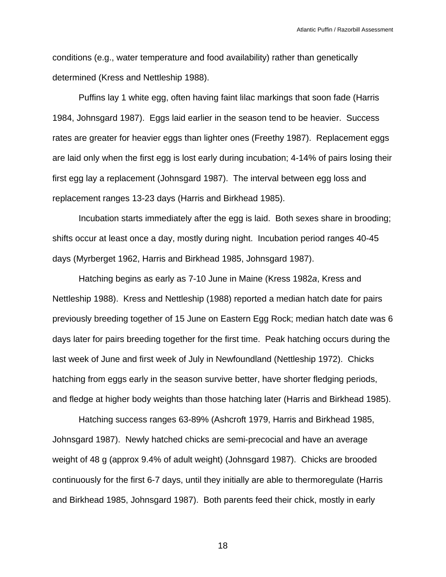conditions (e.g., water temperature and food availability) rather than genetically determined (Kress and Nettleship 1988).

 Puffins lay 1 white egg, often having faint lilac markings that soon fade (Harris 1984, Johnsgard 1987). Eggs laid earlier in the season tend to be heavier. Success rates are greater for heavier eggs than lighter ones (Freethy 1987). Replacement eggs are laid only when the first egg is lost early during incubation; 4-14% of pairs losing their first egg lay a replacement (Johnsgard 1987). The interval between egg loss and replacement ranges 13-23 days (Harris and Birkhead 1985).

 Incubation starts immediately after the egg is laid. Both sexes share in brooding; shifts occur at least once a day, mostly during night. Incubation period ranges 40-45 days (Myrberget 1962, Harris and Birkhead 1985, Johnsgard 1987).

 Hatching begins as early as 7-10 June in Maine (Kress 1982*a*, Kress and Nettleship 1988). Kress and Nettleship (1988) reported a median hatch date for pairs previously breeding together of 15 June on Eastern Egg Rock; median hatch date was 6 days later for pairs breeding together for the first time. Peak hatching occurs during the last week of June and first week of July in Newfoundland (Nettleship 1972). Chicks hatching from eggs early in the season survive better, have shorter fledging periods, and fledge at higher body weights than those hatching later (Harris and Birkhead 1985).

 Hatching success ranges 63-89% (Ashcroft 1979, Harris and Birkhead 1985, Johnsgard 1987). Newly hatched chicks are semi-precocial and have an average weight of 48 g (approx 9.4% of adult weight) (Johnsgard 1987). Chicks are brooded continuously for the first 6-7 days, until they initially are able to thermoregulate (Harris and Birkhead 1985, Johnsgard 1987). Both parents feed their chick, mostly in early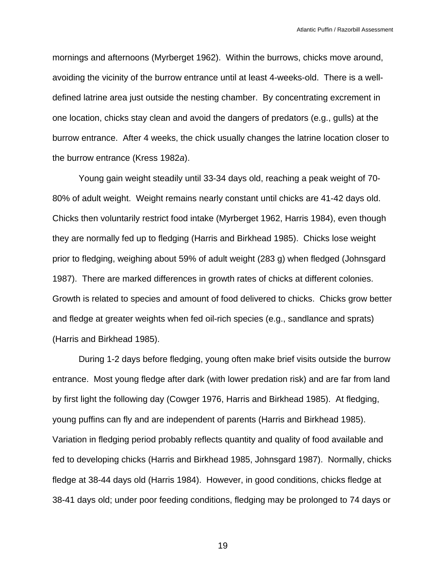mornings and afternoons (Myrberget 1962). Within the burrows, chicks move around, avoiding the vicinity of the burrow entrance until at least 4-weeks-old. There is a welldefined latrine area just outside the nesting chamber. By concentrating excrement in one location, chicks stay clean and avoid the dangers of predators (e.g., gulls) at the burrow entrance. After 4 weeks, the chick usually changes the latrine location closer to the burrow entrance (Kress 1982*a*).

 Young gain weight steadily until 33-34 days old, reaching a peak weight of 70- 80% of adult weight. Weight remains nearly constant until chicks are 41-42 days old. Chicks then voluntarily restrict food intake (Myrberget 1962, Harris 1984), even though they are normally fed up to fledging (Harris and Birkhead 1985). Chicks lose weight prior to fledging, weighing about 59% of adult weight (283 g) when fledged (Johnsgard 1987). There are marked differences in growth rates of chicks at different colonies. Growth is related to species and amount of food delivered to chicks. Chicks grow better and fledge at greater weights when fed oil-rich species (e.g., sandlance and sprats) (Harris and Birkhead 1985).

 During 1-2 days before fledging, young often make brief visits outside the burrow entrance. Most young fledge after dark (with lower predation risk) and are far from land by first light the following day (Cowger 1976, Harris and Birkhead 1985). At fledging, young puffins can fly and are independent of parents (Harris and Birkhead 1985). Variation in fledging period probably reflects quantity and quality of food available and fed to developing chicks (Harris and Birkhead 1985, Johnsgard 1987). Normally, chicks fledge at 38-44 days old (Harris 1984). However, in good conditions, chicks fledge at 38-41 days old; under poor feeding conditions, fledging may be prolonged to 74 days or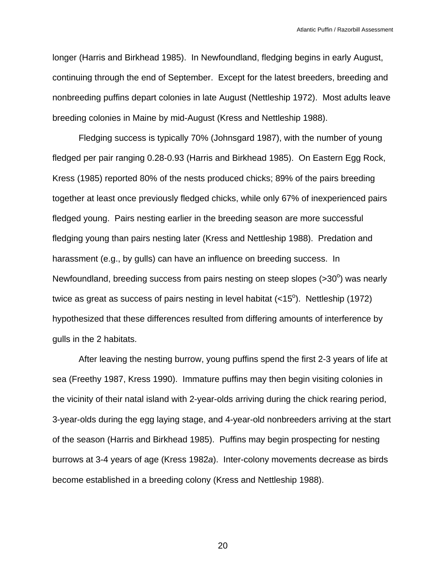longer (Harris and Birkhead 1985). In Newfoundland, fledging begins in early August, continuing through the end of September. Except for the latest breeders, breeding and nonbreeding puffins depart colonies in late August (Nettleship 1972). Most adults leave breeding colonies in Maine by mid-August (Kress and Nettleship 1988).

 Fledging success is typically 70% (Johnsgard 1987), with the number of young fledged per pair ranging 0.28-0.93 (Harris and Birkhead 1985). On Eastern Egg Rock, Kress (1985) reported 80% of the nests produced chicks; 89% of the pairs breeding together at least once previously fledged chicks, while only 67% of inexperienced pairs fledged young. Pairs nesting earlier in the breeding season are more successful fledging young than pairs nesting later (Kress and Nettleship 1988). Predation and harassment (e.g., by gulls) can have an influence on breeding success. In Newfoundland, breeding success from pairs nesting on steep slopes  $($ >30 $^{\circ}$ ) was nearly twice as great as success of pairs nesting in level habitat  $(<15^{\circ})$ . Nettleship (1972) hypothesized that these differences resulted from differing amounts of interference by gulls in the 2 habitats.

 After leaving the nesting burrow, young puffins spend the first 2-3 years of life at sea (Freethy 1987, Kress 1990). Immature puffins may then begin visiting colonies in the vicinity of their natal island with 2-year-olds arriving during the chick rearing period, 3-year-olds during the egg laying stage, and 4-year-old nonbreeders arriving at the start of the season (Harris and Birkhead 1985). Puffins may begin prospecting for nesting burrows at 3-4 years of age (Kress 1982*a*). Inter-colony movements decrease as birds become established in a breeding colony (Kress and Nettleship 1988).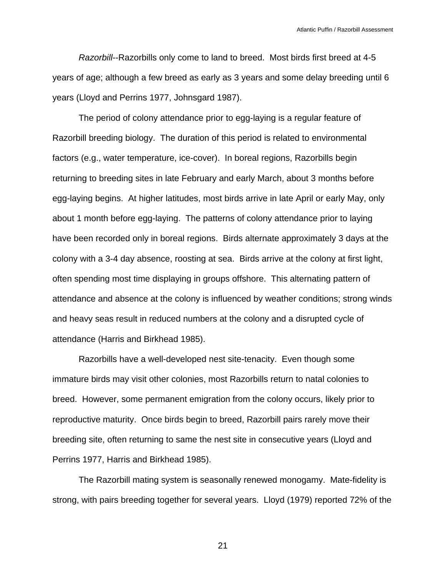*Razorbill*--Razorbills only come to land to breed. Most birds first breed at 4-5 years of age; although a few breed as early as 3 years and some delay breeding until 6 years (Lloyd and Perrins 1977, Johnsgard 1987).

 The period of colony attendance prior to egg-laying is a regular feature of Razorbill breeding biology. The duration of this period is related to environmental factors (e.g., water temperature, ice-cover). In boreal regions, Razorbills begin returning to breeding sites in late February and early March, about 3 months before egg-laying begins. At higher latitudes, most birds arrive in late April or early May, only about 1 month before egg-laying. The patterns of colony attendance prior to laying have been recorded only in boreal regions. Birds alternate approximately 3 days at the colony with a 3-4 day absence, roosting at sea. Birds arrive at the colony at first light, often spending most time displaying in groups offshore. This alternating pattern of attendance and absence at the colony is influenced by weather conditions; strong winds and heavy seas result in reduced numbers at the colony and a disrupted cycle of attendance (Harris and Birkhead 1985).

 Razorbills have a well-developed nest site-tenacity. Even though some immature birds may visit other colonies, most Razorbills return to natal colonies to breed. However, some permanent emigration from the colony occurs, likely prior to reproductive maturity. Once birds begin to breed, Razorbill pairs rarely move their breeding site, often returning to same the nest site in consecutive years (Lloyd and Perrins 1977, Harris and Birkhead 1985).

 The Razorbill mating system is seasonally renewed monogamy. Mate-fidelity is strong, with pairs breeding together for several years. Lloyd (1979) reported 72% of the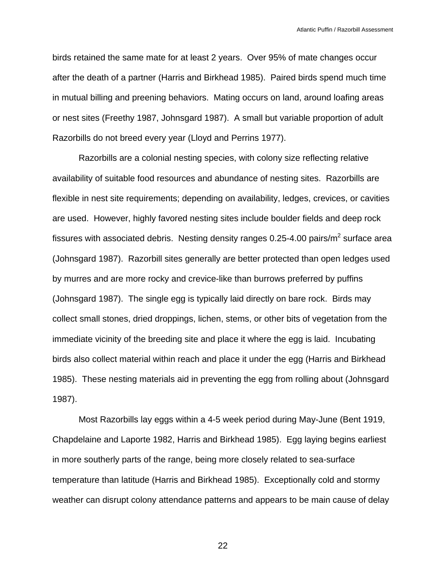birds retained the same mate for at least 2 years. Over 95% of mate changes occur after the death of a partner (Harris and Birkhead 1985). Paired birds spend much time in mutual billing and preening behaviors. Mating occurs on land, around loafing areas or nest sites (Freethy 1987, Johnsgard 1987). A small but variable proportion of adult Razorbills do not breed every year (Lloyd and Perrins 1977).

 Razorbills are a colonial nesting species, with colony size reflecting relative availability of suitable food resources and abundance of nesting sites. Razorbills are flexible in nest site requirements; depending on availability, ledges, crevices, or cavities are used. However, highly favored nesting sites include boulder fields and deep rock fissures with associated debris. Nesting density ranges 0.25-4.00 pairs/m<sup>2</sup> surface area (Johnsgard 1987). Razorbill sites generally are better protected than open ledges used by murres and are more rocky and crevice-like than burrows preferred by puffins (Johnsgard 1987). The single egg is typically laid directly on bare rock. Birds may collect small stones, dried droppings, lichen, stems, or other bits of vegetation from the immediate vicinity of the breeding site and place it where the egg is laid. Incubating birds also collect material within reach and place it under the egg (Harris and Birkhead 1985). These nesting materials aid in preventing the egg from rolling about (Johnsgard 1987).

 Most Razorbills lay eggs within a 4-5 week period during May-June (Bent 1919, Chapdelaine and Laporte 1982, Harris and Birkhead 1985). Egg laying begins earliest in more southerly parts of the range, being more closely related to sea-surface temperature than latitude (Harris and Birkhead 1985). Exceptionally cold and stormy weather can disrupt colony attendance patterns and appears to be main cause of delay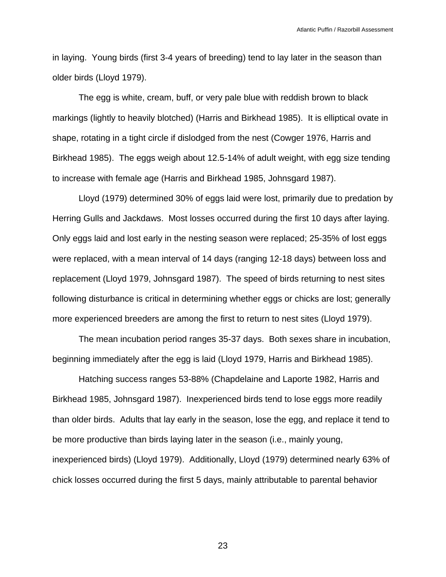in laying. Young birds (first 3-4 years of breeding) tend to lay later in the season than older birds (Lloyd 1979).

 The egg is white, cream, buff, or very pale blue with reddish brown to black markings (lightly to heavily blotched) (Harris and Birkhead 1985). It is elliptical ovate in shape, rotating in a tight circle if dislodged from the nest (Cowger 1976, Harris and Birkhead 1985). The eggs weigh about 12.5-14% of adult weight, with egg size tending to increase with female age (Harris and Birkhead 1985, Johnsgard 1987).

 Lloyd (1979) determined 30% of eggs laid were lost, primarily due to predation by Herring Gulls and Jackdaws. Most losses occurred during the first 10 days after laying. Only eggs laid and lost early in the nesting season were replaced; 25-35% of lost eggs were replaced, with a mean interval of 14 days (ranging 12-18 days) between loss and replacement (Lloyd 1979, Johnsgard 1987). The speed of birds returning to nest sites following disturbance is critical in determining whether eggs or chicks are lost; generally more experienced breeders are among the first to return to nest sites (Lloyd 1979).

 The mean incubation period ranges 35-37 days. Both sexes share in incubation, beginning immediately after the egg is laid (Lloyd 1979, Harris and Birkhead 1985).

 Hatching success ranges 53-88% (Chapdelaine and Laporte 1982, Harris and Birkhead 1985, Johnsgard 1987). Inexperienced birds tend to lose eggs more readily than older birds. Adults that lay early in the season, lose the egg, and replace it tend to be more productive than birds laying later in the season (i.e., mainly young, inexperienced birds) (Lloyd 1979). Additionally, Lloyd (1979) determined nearly 63% of chick losses occurred during the first 5 days, mainly attributable to parental behavior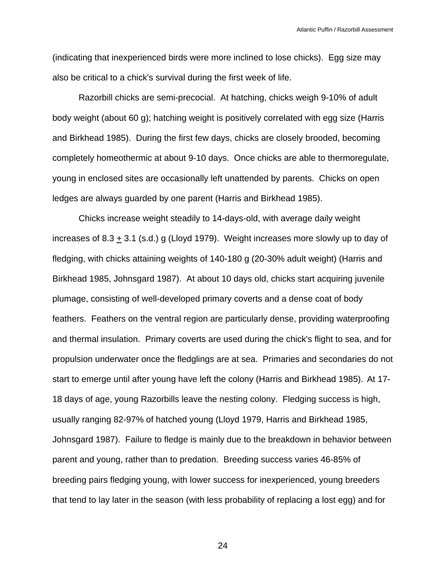(indicating that inexperienced birds were more inclined to lose chicks). Egg size may also be critical to a chick's survival during the first week of life.

 Razorbill chicks are semi-precocial. At hatching, chicks weigh 9-10% of adult body weight (about 60 g); hatching weight is positively correlated with egg size (Harris and Birkhead 1985). During the first few days, chicks are closely brooded, becoming completely homeothermic at about 9-10 days. Once chicks are able to thermoregulate, young in enclosed sites are occasionally left unattended by parents. Chicks on open ledges are always guarded by one parent (Harris and Birkhead 1985).

 Chicks increase weight steadily to 14-days-old, with average daily weight increases of 8.3  $\pm$  3.1 (s.d.) g (Lloyd 1979). Weight increases more slowly up to day of fledging, with chicks attaining weights of 140-180 g (20-30% adult weight) (Harris and Birkhead 1985, Johnsgard 1987). At about 10 days old, chicks start acquiring juvenile plumage, consisting of well-developed primary coverts and a dense coat of body feathers. Feathers on the ventral region are particularly dense, providing waterproofing and thermal insulation. Primary coverts are used during the chick's flight to sea, and for propulsion underwater once the fledglings are at sea. Primaries and secondaries do not start to emerge until after young have left the colony (Harris and Birkhead 1985). At 17- 18 days of age, young Razorbills leave the nesting colony. Fledging success is high, usually ranging 82-97% of hatched young (Lloyd 1979, Harris and Birkhead 1985, Johnsgard 1987). Failure to fledge is mainly due to the breakdown in behavior between parent and young, rather than to predation. Breeding success varies 46-85% of breeding pairs fledging young, with lower success for inexperienced, young breeders that tend to lay later in the season (with less probability of replacing a lost egg) and for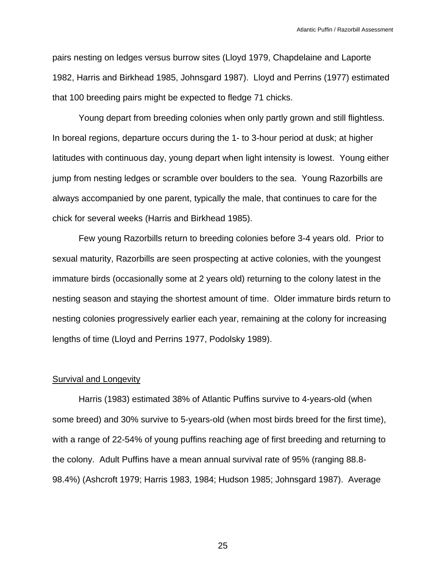pairs nesting on ledges versus burrow sites (Lloyd 1979, Chapdelaine and Laporte 1982, Harris and Birkhead 1985, Johnsgard 1987). Lloyd and Perrins (1977) estimated that 100 breeding pairs might be expected to fledge 71 chicks.

 Young depart from breeding colonies when only partly grown and still flightless. In boreal regions, departure occurs during the 1- to 3-hour period at dusk; at higher latitudes with continuous day, young depart when light intensity is lowest. Young either jump from nesting ledges or scramble over boulders to the sea. Young Razorbills are always accompanied by one parent, typically the male, that continues to care for the chick for several weeks (Harris and Birkhead 1985).

 Few young Razorbills return to breeding colonies before 3-4 years old. Prior to sexual maturity, Razorbills are seen prospecting at active colonies, with the youngest immature birds (occasionally some at 2 years old) returning to the colony latest in the nesting season and staying the shortest amount of time. Older immature birds return to nesting colonies progressively earlier each year, remaining at the colony for increasing lengths of time (Lloyd and Perrins 1977, Podolsky 1989).

#### Survival and Longevity

 Harris (1983) estimated 38% of Atlantic Puffins survive to 4-years-old (when some breed) and 30% survive to 5-years-old (when most birds breed for the first time), with a range of 22-54% of young puffins reaching age of first breeding and returning to the colony. Adult Puffins have a mean annual survival rate of 95% (ranging 88.8- 98.4%) (Ashcroft 1979; Harris 1983, 1984; Hudson 1985; Johnsgard 1987). Average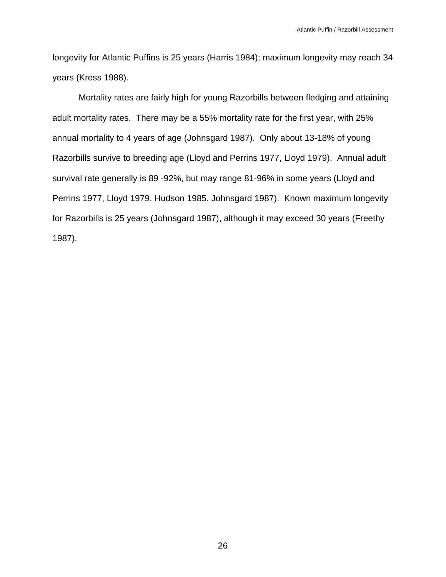longevity for Atlantic Puffins is 25 years (Harris 1984); maximum longevity may reach 34 years (Kress 1988).

 Mortality rates are fairly high for young Razorbills between fledging and attaining adult mortality rates. There may be a 55% mortality rate for the first year, with 25% annual mortality to 4 years of age (Johnsgard 1987). Only about 13-18% of young Razorbills survive to breeding age (Lloyd and Perrins 1977, Lloyd 1979). Annual adult survival rate generally is 89 -92%, but may range 81-96% in some years (Lloyd and Perrins 1977, Lloyd 1979, Hudson 1985, Johnsgard 1987). Known maximum longevity for Razorbills is 25 years (Johnsgard 1987), although it may exceed 30 years (Freethy 1987).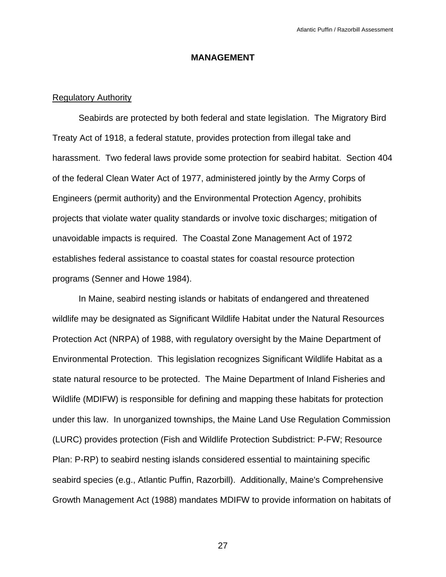## **MANAGEMENT**

## Regulatory Authority

 Seabirds are protected by both federal and state legislation. The Migratory Bird Treaty Act of 1918, a federal statute, provides protection from illegal take and harassment. Two federal laws provide some protection for seabird habitat. Section 404 of the federal Clean Water Act of 1977, administered jointly by the Army Corps of Engineers (permit authority) and the Environmental Protection Agency, prohibits projects that violate water quality standards or involve toxic discharges; mitigation of unavoidable impacts is required. The Coastal Zone Management Act of 1972 establishes federal assistance to coastal states for coastal resource protection programs (Senner and Howe 1984).

 In Maine, seabird nesting islands or habitats of endangered and threatened wildlife may be designated as Significant Wildlife Habitat under the Natural Resources Protection Act (NRPA) of 1988, with regulatory oversight by the Maine Department of Environmental Protection. This legislation recognizes Significant Wildlife Habitat as a state natural resource to be protected. The Maine Department of Inland Fisheries and Wildlife (MDIFW) is responsible for defining and mapping these habitats for protection under this law. In unorganized townships, the Maine Land Use Regulation Commission (LURC) provides protection (Fish and Wildlife Protection Subdistrict: P-FW; Resource Plan: P-RP) to seabird nesting islands considered essential to maintaining specific seabird species (e.g., Atlantic Puffin, Razorbill). Additionally, Maine's Comprehensive Growth Management Act (1988) mandates MDIFW to provide information on habitats of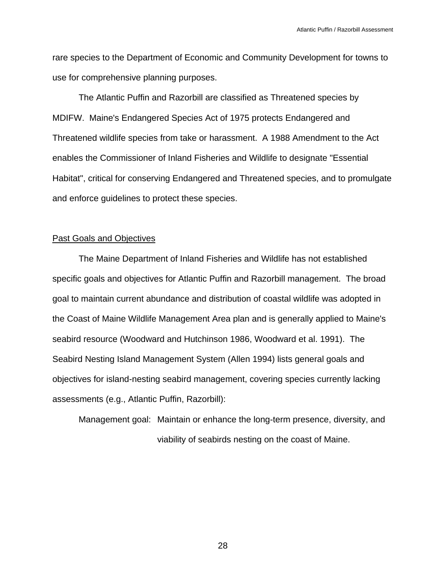rare species to the Department of Economic and Community Development for towns to use for comprehensive planning purposes.

 The Atlantic Puffin and Razorbill are classified as Threatened species by MDIFW. Maine's Endangered Species Act of 1975 protects Endangered and Threatened wildlife species from take or harassment. A 1988 Amendment to the Act enables the Commissioner of Inland Fisheries and Wildlife to designate "Essential Habitat", critical for conserving Endangered and Threatened species, and to promulgate and enforce guidelines to protect these species.

#### Past Goals and Objectives

 The Maine Department of Inland Fisheries and Wildlife has not established specific goals and objectives for Atlantic Puffin and Razorbill management. The broad goal to maintain current abundance and distribution of coastal wildlife was adopted in the Coast of Maine Wildlife Management Area plan and is generally applied to Maine's seabird resource (Woodward and Hutchinson 1986, Woodward et al. 1991). The Seabird Nesting Island Management System (Allen 1994) lists general goals and objectives for island-nesting seabird management, covering species currently lacking assessments (e.g., Atlantic Puffin, Razorbill):

 Management goal: Maintain or enhance the long-term presence, diversity, and viability of seabirds nesting on the coast of Maine.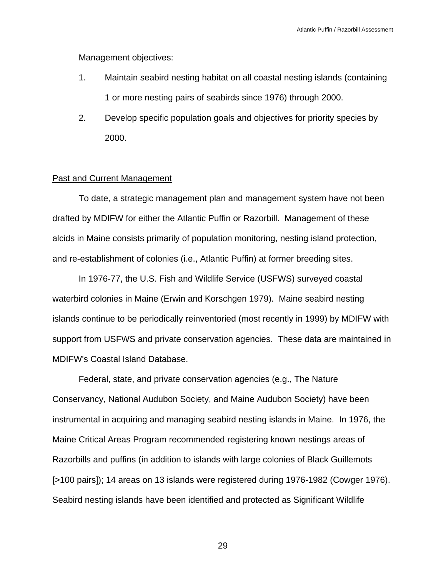Management objectives:

- 1. Maintain seabird nesting habitat on all coastal nesting islands (containing 1 or more nesting pairs of seabirds since 1976) through 2000.
- 2. Develop specific population goals and objectives for priority species by 2000.

## Past and Current Management

 To date, a strategic management plan and management system have not been drafted by MDIFW for either the Atlantic Puffin or Razorbill. Management of these alcids in Maine consists primarily of population monitoring, nesting island protection, and re-establishment of colonies (i.e., Atlantic Puffin) at former breeding sites.

 In 1976-77, the U.S. Fish and Wildlife Service (USFWS) surveyed coastal waterbird colonies in Maine (Erwin and Korschgen 1979). Maine seabird nesting islands continue to be periodically reinventoried (most recently in 1999) by MDIFW with support from USFWS and private conservation agencies. These data are maintained in MDIFW's Coastal Island Database.

 Federal, state, and private conservation agencies (e.g., The Nature Conservancy, National Audubon Society, and Maine Audubon Society) have been instrumental in acquiring and managing seabird nesting islands in Maine. In 1976, the Maine Critical Areas Program recommended registering known nestings areas of Razorbills and puffins (in addition to islands with large colonies of Black Guillemots [>100 pairs]); 14 areas on 13 islands were registered during 1976-1982 (Cowger 1976). Seabird nesting islands have been identified and protected as Significant Wildlife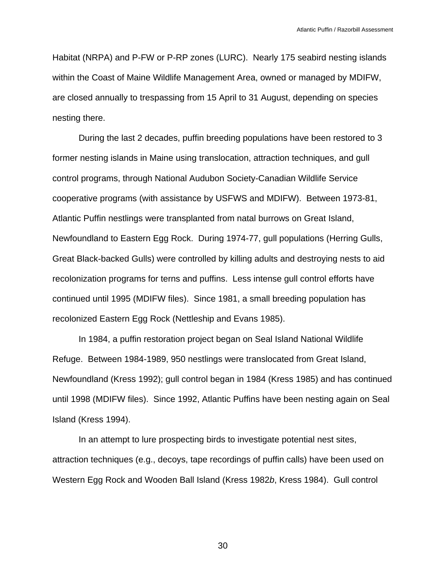Habitat (NRPA) and P-FW or P-RP zones (LURC). Nearly 175 seabird nesting islands within the Coast of Maine Wildlife Management Area, owned or managed by MDIFW, are closed annually to trespassing from 15 April to 31 August, depending on species nesting there.

 During the last 2 decades, puffin breeding populations have been restored to 3 former nesting islands in Maine using translocation, attraction techniques, and gull control programs, through National Audubon Society-Canadian Wildlife Service cooperative programs (with assistance by USFWS and MDIFW). Between 1973-81, Atlantic Puffin nestlings were transplanted from natal burrows on Great Island, Newfoundland to Eastern Egg Rock. During 1974-77, gull populations (Herring Gulls, Great Black-backed Gulls) were controlled by killing adults and destroying nests to aid recolonization programs for terns and puffins. Less intense gull control efforts have continued until 1995 (MDIFW files). Since 1981, a small breeding population has recolonized Eastern Egg Rock (Nettleship and Evans 1985).

 In 1984, a puffin restoration project began on Seal Island National Wildlife Refuge. Between 1984-1989, 950 nestlings were translocated from Great Island, Newfoundland (Kress 1992); gull control began in 1984 (Kress 1985) and has continued until 1998 (MDIFW files). Since 1992, Atlantic Puffins have been nesting again on Seal Island (Kress 1994).

 In an attempt to lure prospecting birds to investigate potential nest sites, attraction techniques (e.g., decoys, tape recordings of puffin calls) have been used on Western Egg Rock and Wooden Ball Island (Kress 1982*b*, Kress 1984). Gull control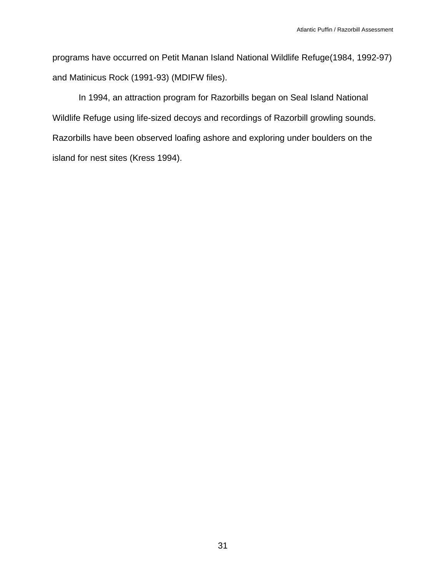programs have occurred on Petit Manan Island National Wildlife Refuge(1984, 1992-97) and Matinicus Rock (1991-93) (MDIFW files).

 In 1994, an attraction program for Razorbills began on Seal Island National Wildlife Refuge using life-sized decoys and recordings of Razorbill growling sounds. Razorbills have been observed loafing ashore and exploring under boulders on the island for nest sites (Kress 1994).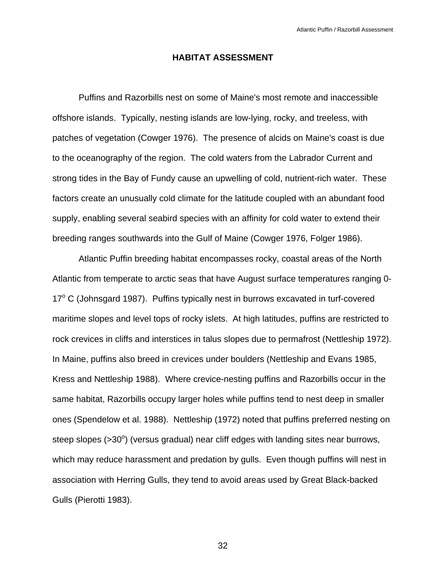#### **HABITAT ASSESSMENT**

 Puffins and Razorbills nest on some of Maine's most remote and inaccessible offshore islands. Typically, nesting islands are low-lying, rocky, and treeless, with patches of vegetation (Cowger 1976). The presence of alcids on Maine's coast is due to the oceanography of the region. The cold waters from the Labrador Current and strong tides in the Bay of Fundy cause an upwelling of cold, nutrient-rich water. These factors create an unusually cold climate for the latitude coupled with an abundant food supply, enabling several seabird species with an affinity for cold water to extend their breeding ranges southwards into the Gulf of Maine (Cowger 1976, Folger 1986).

 Atlantic Puffin breeding habitat encompasses rocky, coastal areas of the North Atlantic from temperate to arctic seas that have August surface temperatures ranging 0- 17° C (Johnsgard 1987). Puffins typically nest in burrows excavated in turf-covered maritime slopes and level tops of rocky islets. At high latitudes, puffins are restricted to rock crevices in cliffs and interstices in talus slopes due to permafrost (Nettleship 1972). In Maine, puffins also breed in crevices under boulders (Nettleship and Evans 1985, Kress and Nettleship 1988). Where crevice-nesting puffins and Razorbills occur in the same habitat, Razorbills occupy larger holes while puffins tend to nest deep in smaller ones (Spendelow et al. 1988). Nettleship (1972) noted that puffins preferred nesting on steep slopes ( $>$ 30 $^{\circ}$ ) (versus gradual) near cliff edges with landing sites near burrows, which may reduce harassment and predation by gulls. Even though puffins will nest in association with Herring Gulls, they tend to avoid areas used by Great Black-backed Gulls (Pierotti 1983).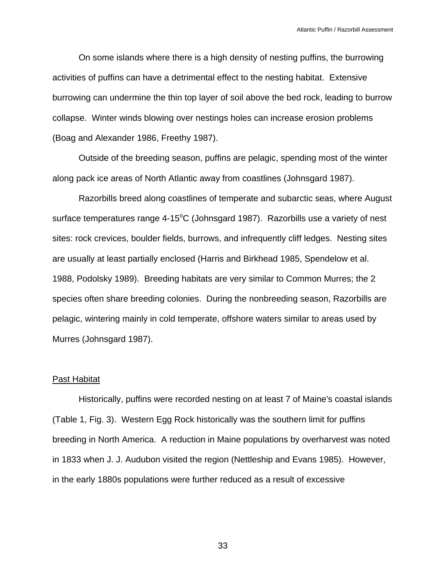On some islands where there is a high density of nesting puffins, the burrowing activities of puffins can have a detrimental effect to the nesting habitat. Extensive burrowing can undermine the thin top layer of soil above the bed rock, leading to burrow collapse. Winter winds blowing over nestings holes can increase erosion problems (Boag and Alexander 1986, Freethy 1987).

 Outside of the breeding season, puffins are pelagic, spending most of the winter along pack ice areas of North Atlantic away from coastlines (Johnsgard 1987).

 Razorbills breed along coastlines of temperate and subarctic seas, where August surface temperatures range 4-15 $^{\circ}$ C (Johnsgard 1987). Razorbills use a variety of nest sites: rock crevices, boulder fields, burrows, and infrequently cliff ledges. Nesting sites are usually at least partially enclosed (Harris and Birkhead 1985, Spendelow et al. 1988, Podolsky 1989). Breeding habitats are very similar to Common Murres; the 2 species often share breeding colonies. During the nonbreeding season, Razorbills are pelagic, wintering mainly in cold temperate, offshore waters similar to areas used by Murres (Johnsgard 1987).

#### Past Habitat

 Historically, puffins were recorded nesting on at least 7 of Maine's coastal islands (Table 1, Fig. 3). Western Egg Rock historically was the southern limit for puffins breeding in North America. A reduction in Maine populations by overharvest was noted in 1833 when J. J. Audubon visited the region (Nettleship and Evans 1985). However, in the early 1880s populations were further reduced as a result of excessive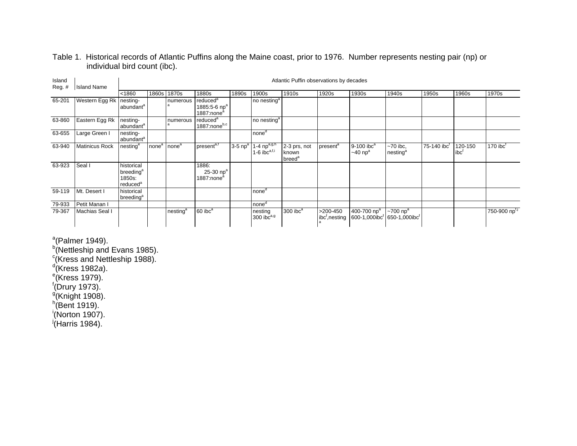## Table 1. Historical records of Atlantic Puffins along the Maine coast, prior to 1976. Number represents nesting pair (np) or individual bird count (ibc).

| Island<br>Reg.# | <b>Island Name</b>    |                                                                       | Atlantic Puffin observations by decades |                      |                                                                            |                       |                                              |                                             |                            |                                                       |                                            |                         |                    |                        |  |  |  |
|-----------------|-----------------------|-----------------------------------------------------------------------|-----------------------------------------|----------------------|----------------------------------------------------------------------------|-----------------------|----------------------------------------------|---------------------------------------------|----------------------------|-------------------------------------------------------|--------------------------------------------|-------------------------|--------------------|------------------------|--|--|--|
|                 |                       | < 1860                                                                | 1860s                                   | 1870s                | 1880s                                                                      | 1890s                 | 1900s                                        | 1910s                                       | 1920s                      | 1930s                                                 | 1940s                                      | 1950s                   | 1960s              | 1970s                  |  |  |  |
| 65-201          | Western Egg Rk        | nesting-<br>abundant <sup>a</sup>                                     |                                         | numerous             | reduced <sup>a</sup><br>1885:5-6 np <sup>a</sup><br>1887:none <sup>a</sup> |                       | no nesting <sup>a</sup>                      |                                             |                            |                                                       |                                            |                         |                    |                        |  |  |  |
| 63-860          | Eastern Egg Rk        | nesting-<br>abundant <sup>a</sup>                                     |                                         | numerous             | reduced <sup>a</sup><br>1887:noneb,c                                       |                       | no nesting <sup>a</sup>                      |                                             |                            |                                                       |                                            |                         |                    |                        |  |  |  |
| 63-655          | Large Green I         | nesting-<br>abundant <sup>a</sup>                                     |                                         |                      |                                                                            |                       | none <sup>d</sup>                            |                                             |                            |                                                       |                                            |                         |                    |                        |  |  |  |
| 63-940          | <b>Matinicus Rock</b> | nesting <sup>e</sup>                                                  | none <sup>a</sup>                       | none <sup>a</sup>    | present <sup>a,f</sup>                                                     | $3-5$ np <sup>a</sup> | 1-4 $np^{a,g,h}$<br>1-6 ibc <sup>a,f,i</sup> | 2-3 prs, not<br>known<br>breed <sup>a</sup> | present <sup>a</sup>       | $9-100$ ibc <sup>a</sup><br>$\sim$ 40 np <sup>a</sup> | $~1$ 70 ibc,<br>nesting <sup>a</sup>       | 75-140 ibc <sup>t</sup> | 120-150<br>$ibc^t$ | $170$ ibc <sup>t</sup> |  |  |  |
| 63-923          | Seal I                | historical<br>breeding <sup>a</sup><br>1850s:<br>reduced <sup>a</sup> |                                         |                      | 1886:<br>25-30 $np^a$<br>1887:none <sup>a</sup>                            |                       |                                              |                                             |                            |                                                       |                                            |                         |                    |                        |  |  |  |
| 59-119          | Mt. Desert I          | historical<br>breeding <sup>a</sup>                                   |                                         |                      |                                                                            |                       | none <sup>d</sup>                            |                                             |                            |                                                       |                                            |                         |                    |                        |  |  |  |
| 79-933          | Petit Manan I         |                                                                       |                                         |                      |                                                                            |                       | none <sup>d</sup>                            |                                             |                            |                                                       |                                            |                         |                    |                        |  |  |  |
| 79-367          | Machias Seal I        |                                                                       |                                         | nesting <sup>a</sup> | $60$ ibc <sup>a</sup>                                                      |                       | nesting<br>300 $\bar{b}c^{a,g}$              | $300$ ibc $a$                               | $>200-450$<br>ibc, nesting | 400-700 np <sup>a</sup><br>600-1,000ibc               | $\sim$ 700 np <sup>a</sup><br>650-1,000ibc |                         |                    | 750-900 npt,j          |  |  |  |

 $a$ (Palmer 1949).

b<sup>b</sup>(Nettleship and Evans 1985).

 $\textdegree$  (Kress and Nettleship 1988).

 $d$ (Kress 1982a).

<sup>e</sup>(Kress 1979).

 $f(Drury 1973)$ .

 $\sqrt[9]{8}$ Knight 1908).

 $h$ (Bent 1919).

 $^{\mathrm{i}}$ (Norton 1907).

 $j$ (Harris 1984).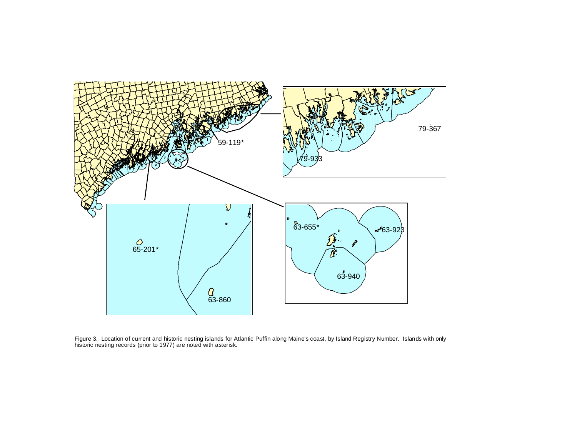

Figure 3. Location of current and historic nesting islands for Atlantic Puffin along Maine's coast, by Island Registry Number. Islands with only historic nesting records (prior to 1977) are noted with asterisk.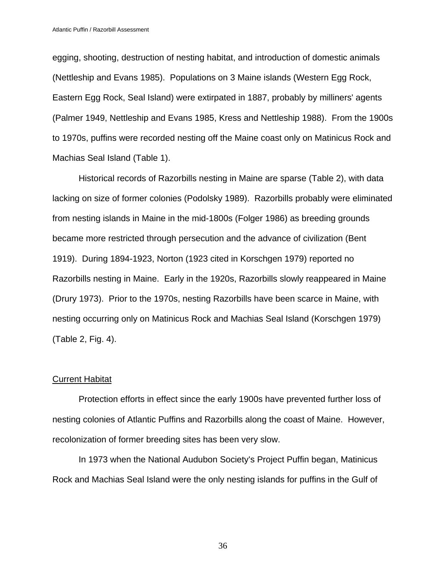egging, shooting, destruction of nesting habitat, and introduction of domestic animals (Nettleship and Evans 1985). Populations on 3 Maine islands (Western Egg Rock, Eastern Egg Rock, Seal Island) were extirpated in 1887, probably by milliners' agents (Palmer 1949, Nettleship and Evans 1985, Kress and Nettleship 1988). From the 1900s to 1970s, puffins were recorded nesting off the Maine coast only on Matinicus Rock and Machias Seal Island (Table 1).

 Historical records of Razorbills nesting in Maine are sparse (Table 2), with data lacking on size of former colonies (Podolsky 1989). Razorbills probably were eliminated from nesting islands in Maine in the mid-1800s (Folger 1986) as breeding grounds became more restricted through persecution and the advance of civilization (Bent 1919). During 1894-1923, Norton (1923 cited in Korschgen 1979) reported no Razorbills nesting in Maine. Early in the 1920s, Razorbills slowly reappeared in Maine (Drury 1973). Prior to the 1970s, nesting Razorbills have been scarce in Maine, with nesting occurring only on Matinicus Rock and Machias Seal Island (Korschgen 1979) (Table 2, Fig. 4).

#### Current Habitat

 Protection efforts in effect since the early 1900s have prevented further loss of nesting colonies of Atlantic Puffins and Razorbills along the coast of Maine. However, recolonization of former breeding sites has been very slow.

 In 1973 when the National Audubon Society's Project Puffin began, Matinicus Rock and Machias Seal Island were the only nesting islands for puffins in the Gulf of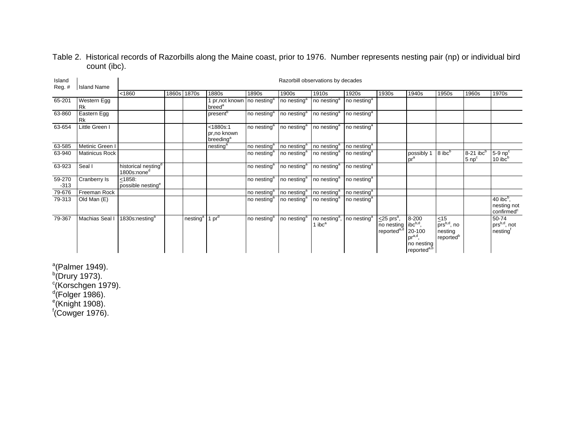## Table 2. Historical records of Razorbills along the Maine coast, prior to 1976. Number represents nesting pair (np) or individual bird count (ibc).

| Island<br>$Reg.$ # | <b>Island Name</b>       |                                                            | Razorbill observations by decades |                      |                                                                 |                         |                         |                                                               |                           |                                                                                             |                                                                                 |                                                                          |                                              |                                                       |  |  |  |
|--------------------|--------------------------|------------------------------------------------------------|-----------------------------------|----------------------|-----------------------------------------------------------------|-------------------------|-------------------------|---------------------------------------------------------------|---------------------------|---------------------------------------------------------------------------------------------|---------------------------------------------------------------------------------|--------------------------------------------------------------------------|----------------------------------------------|-------------------------------------------------------|--|--|--|
|                    |                          | < 1860                                                     | 1860s                             | 1870s                | 1880s                                                           | 1890s                   | 1900s                   | 1910s                                                         | 1920s                     | 1930s                                                                                       | 1940s                                                                           | 1950s                                                                    | 1960s                                        | 1970s                                                 |  |  |  |
| 65-201             | Western Egg<br><b>Rk</b> |                                                            |                                   |                      | 1 pr, not known   no nesting <sup>a</sup><br>breed <sup>a</sup> |                         | no nesting <sup>a</sup> | no nesting <sup>a</sup>                                       | no nesting $\overline{a}$ |                                                                                             |                                                                                 |                                                                          |                                              |                                                       |  |  |  |
| 63-860             | Eastern Egg<br><b>Rk</b> |                                                            |                                   |                      | present <sup>b</sup>                                            | no nesting <sup>a</sup> | no nesting <sup>a</sup> | no nesting <sup>a</sup>                                       | no nesting <sup>a</sup>   |                                                                                             |                                                                                 |                                                                          |                                              |                                                       |  |  |  |
| 63-654             | Little Green I           |                                                            |                                   |                      | < 1880s:1<br>pr.no known<br>breeding <sup>a</sup>               | no nesting <sup>a</sup> | no nesting <sup>a</sup> | no nesting <sup>a</sup>                                       | no nesting <sup>a</sup>   |                                                                                             |                                                                                 |                                                                          |                                              |                                                       |  |  |  |
| 63-585             | Metinic Green I          |                                                            |                                   |                      | nesting <sup>a</sup>                                            | no nesting <sup>a</sup> | no nesting <sup>a</sup> | no nesting <sup>a</sup>                                       | no nesting <sup>a</sup>   |                                                                                             |                                                                                 |                                                                          |                                              |                                                       |  |  |  |
| 63-940             | <b>Matinicus Rock</b>    |                                                            |                                   |                      |                                                                 | no nesting <sup>a</sup> | no nesting <sup>a</sup> | no nesting <sup>a</sup>                                       | no nesting <sup>a</sup>   |                                                                                             | possibly 1<br>pr <sup>a</sup>                                                   | $8$ ibc $b$                                                              | $8-21$ ibc <sup>b</sup><br>5 np <sup>c</sup> | $5-9$ np <sup>c</sup><br>10 ibc <sup>b</sup>          |  |  |  |
| 63-923             | Seal I                   | historical nesting <sup>a</sup><br>1800s:none <sup>d</sup> |                                   |                      |                                                                 | no nesting <sup>a</sup> | no nesting <sup>a</sup> | no nesting <sup>a</sup>                                       | no nesting <sup>a</sup>   |                                                                                             |                                                                                 |                                                                          |                                              |                                                       |  |  |  |
| 59-270<br>$-313$   | Cranberry Is             | < 1858:<br>possible nesting <sup>e</sup>                   |                                   |                      |                                                                 | no nesting <sup>a</sup> | no nesting <sup>a</sup> | no nesting <sup>a</sup>                                       | no nesting <sup>a</sup>   |                                                                                             |                                                                                 |                                                                          |                                              |                                                       |  |  |  |
| 79-676             | Freeman Rock             |                                                            |                                   |                      |                                                                 | no nesting <sup>a</sup> | no nesting <sup>a</sup> | no nesting <sup>a</sup>                                       | no nesting <sup>a</sup>   |                                                                                             |                                                                                 |                                                                          |                                              |                                                       |  |  |  |
| 79-313             | Old Man (E)              |                                                            |                                   |                      |                                                                 | no nesting <sup>a</sup> | no nesting <sup>a</sup> | no nesting <sup>a</sup>                                       | no nesting <sup>a</sup>   |                                                                                             |                                                                                 |                                                                          |                                              | 40 $ibc^b$ ,<br>nesting not<br>confirmed <sup>c</sup> |  |  |  |
| 79-367             | Machias Seal I           | 1830s:nesting <sup>a</sup>                                 |                                   | nesting <sup>a</sup> | 1 $pr^{\alpha}$                                                 | no nesting <sup>a</sup> | no nesting <sup>a</sup> | no nesting <sup>a</sup> , no nesting <sup>a</sup><br>1 $ibca$ |                           | $\leq$ 25 prs <sup>a</sup> ,<br>no nesting libc <sup>b,d</sup> ,<br>reported <sup>a,d</sup> | 8-200<br>20-100<br>pr <sup>a,d</sup> ,<br>no nesting<br>reported <sup>a,b</sup> | $\leq 15$<br>prs <sup>b,d</sup> , no<br>nesting<br>reported <sup>b</sup> |                                              | 50-74<br>prs <sup>b,d</sup> , not<br>nesting          |  |  |  |

 $a$ (Palmer 1949).  $b$ (Drury 1973). <sup>c</sup>(Korschgen 1979). <sup>d</sup>(Folger 1986). <sup>e</sup>(Knight 1908).  $f$ (Cowger 1976).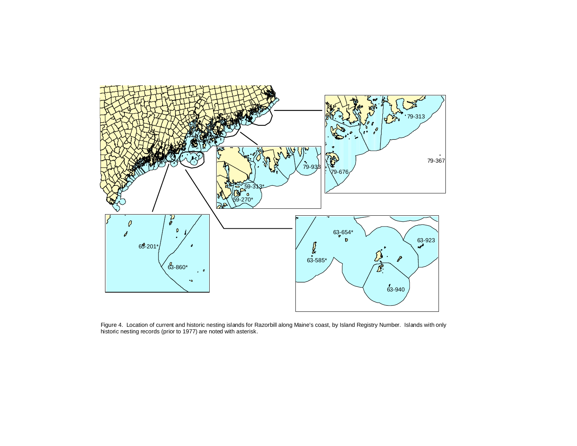

Figure 4. Location of current and historic nesting islands for Razorbill along Maine's coast, by Island Registry Number. Islands with only historic nesting records (prior to 1977) are noted with asterisk.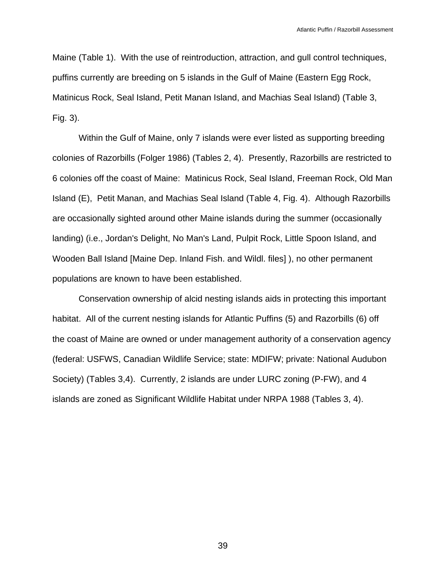Maine (Table 1). With the use of reintroduction, attraction, and gull control techniques, puffins currently are breeding on 5 islands in the Gulf of Maine (Eastern Egg Rock, Matinicus Rock, Seal Island, Petit Manan Island, and Machias Seal Island) (Table 3, Fig. 3).

 Within the Gulf of Maine, only 7 islands were ever listed as supporting breeding colonies of Razorbills (Folger 1986) (Tables 2, 4). Presently, Razorbills are restricted to 6 colonies off the coast of Maine: Matinicus Rock, Seal Island, Freeman Rock, Old Man Island (E), Petit Manan, and Machias Seal Island (Table 4, Fig. 4). Although Razorbills are occasionally sighted around other Maine islands during the summer (occasionally landing) (i.e., Jordan's Delight, No Man's Land, Pulpit Rock, Little Spoon Island, and Wooden Ball Island [Maine Dep. Inland Fish. and Wildl. files] ), no other permanent populations are known to have been established.

 Conservation ownership of alcid nesting islands aids in protecting this important habitat. All of the current nesting islands for Atlantic Puffins (5) and Razorbills (6) off the coast of Maine are owned or under management authority of a conservation agency (federal: USFWS, Canadian Wildlife Service; state: MDIFW; private: National Audubon Society) (Tables 3,4). Currently, 2 islands are under LURC zoning (P-FW), and 4 islands are zoned as Significant Wildlife Habitat under NRPA 1988 (Tables 3, 4).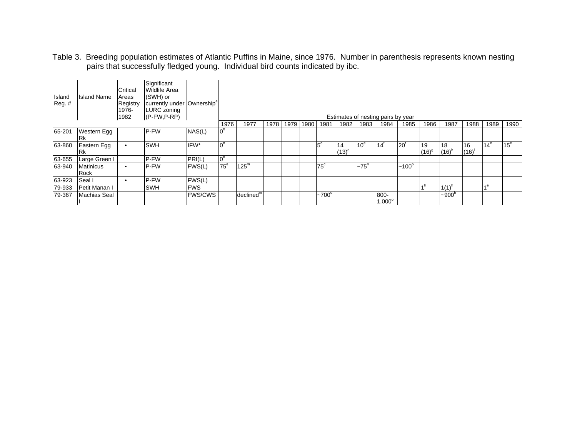Table 3. Breeding population estimates of Atlantic Puffins in Maine, since 1976. Number in parenthesis represents known nesting pairs that successfully fledged young. Individual bird counts indicated by ibc.

| Island<br>$Reg.$ # | <b>Island Name</b>              | Critical<br>Areas<br>Registry<br>1976-<br>1982 | Significant<br><b>Wildlife Area</b><br>(SWH) or<br>currently under Ownership <sup>a</sup><br>LURC zoning<br>$(P-FW,P-RP)$ |                |                |                       |      |      |      |              |                |                   | Estimates of nesting pairs by year |              |                |                  |            |               |                 |
|--------------------|---------------------------------|------------------------------------------------|---------------------------------------------------------------------------------------------------------------------------|----------------|----------------|-----------------------|------|------|------|--------------|----------------|-------------------|------------------------------------|--------------|----------------|------------------|------------|---------------|-----------------|
|                    |                                 |                                                |                                                                                                                           |                | 1976           | 1977                  | 1978 | 1979 | 1980 | 1981         | 1982           | 1983              | 1984                               | 1985         | 1986           | 1987             | 1988       | 1989          | 1990            |
| 65-201             | <b>Western Egg</b><br><b>Rk</b> |                                                | P-FW                                                                                                                      | NAS(L)         | 0 <sup>b</sup> |                       |      |      |      |              |                |                   |                                    |              |                |                  |            |               |                 |
| 63-860             | Eastern Egg<br><b>Rk</b>        |                                                | SWH                                                                                                                       | IFW*           | 0 <sup>b</sup> |                       |      |      |      | $15^{\circ}$ | 14<br>$(13)^d$ | 10 <sup>e</sup>   | $14^t$                             | 20           | 19<br>$(16)^9$ | 18<br>$(16)^{r}$ | 16<br>(16) | 14 $^{\rm e}$ | 15 <sup>e</sup> |
| 63-655             | Large Green I                   |                                                | P-FW                                                                                                                      | PRI(L)         | 0 <sub>p</sub> |                       |      |      |      |              |                |                   |                                    |              |                |                  |            |               |                 |
| 63-940             | Matinicus<br>Rock               | $\bullet$                                      | P-FW                                                                                                                      | FWS(L)         | $75^{\circ}$   | 125 <sup>m</sup>      |      |      |      | $75^\circ$   |                | ~275 <sup>n</sup> |                                    | $~100^\circ$ |                |                  |            |               |                 |
| 63-923             | Seal I                          |                                                | P-FW                                                                                                                      | FWS(L)         |                |                       |      |      |      |              |                |                   |                                    |              |                |                  |            |               |                 |
| 79-933             | <b>Petit Manan I</b>            |                                                | SWH                                                                                                                       | <b>FWS</b>     |                |                       |      |      |      |              |                |                   |                                    |              |                | $1(1)^{r}$       |            | ⊿e.           |                 |
| 79-367             | Machias Seal                    |                                                |                                                                                                                           | <b>FWS/CWS</b> |                | declined <sup>m</sup> |      |      |      | $-700^\circ$ |                |                   | 800-<br>$1,000^{\circ}$            |              |                | $-900h$          |            |               |                 |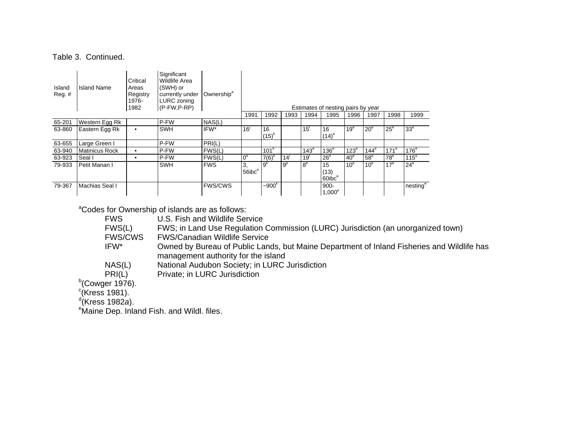#### Table 3. Continued.

| Island<br>$Reg.$ # | <b>Island Name</b>    | Critical<br>Areas<br>Registry<br>1976-<br>1982 | Significant<br>Wildlife Area<br>(SWH) or<br>currently under<br><b>LURC</b> zoning<br>$(P-FW,P-RP)$ | Ownership <sup>a</sup> |                     |                  |                |                 | Estimates of nesting pairs by year           |                  |                 |                  |                      |
|--------------------|-----------------------|------------------------------------------------|----------------------------------------------------------------------------------------------------|------------------------|---------------------|------------------|----------------|-----------------|----------------------------------------------|------------------|-----------------|------------------|----------------------|
|                    |                       |                                                |                                                                                                    |                        | 1991                | 1992             | 1993           | 1994            | 1995                                         | 1996             | 1997            | 1998             | 1999                 |
| 65-201             | Western Egg Rk        |                                                | P-FW                                                                                               | NAS(L)                 |                     |                  |                |                 |                                              |                  |                 |                  |                      |
| 63-860             | Eastern Egg Rk        | ٠                                              | <b>SWH</b>                                                                                         | IFW*                   | 16 <sup>1</sup>     | 16<br>$(15)^{k}$ |                | 15 <sup>1</sup> | 16<br>$(14)^e$                               | 19 <sup>e</sup>  | 20 <sup>e</sup> | $25^{\circ}$     | 33 <sup>e</sup>      |
| 63-655             | Large Green I         |                                                | P-FW                                                                                               | PRI(L)                 |                     |                  |                |                 |                                              |                  |                 |                  |                      |
| 63-940             | <b>Matinicus Rock</b> |                                                | P-FW                                                                                               | FWS(L)                 |                     | 101 <sup>k</sup> |                | $143^e$         | $136^\circ$                                  | 123 <sup>e</sup> | $144^\circ$     | 171 <sup>e</sup> | 176 <sup>e</sup>     |
| 63-923             | Seal I                | $\bullet$                                      | P-FW                                                                                               | FWS(L)                 | $0^{\circ}$         | $7(6)^k$         | 14             | 19 <sup>1</sup> | 26 <sup>e</sup>                              | 40 <sup>e</sup>  | 58 <sup>e</sup> | 78 <sup>e</sup>  | 115 <sup>e</sup>     |
| 79-933             | Petit Manan I         |                                                | <b>SWH</b>                                                                                         | <b>FWS</b>             | 3.<br>$56$ ibc $^e$ | g <sup>k</sup>   | 9 <sup>p</sup> | R <sup>e</sup>  | 15<br>(13)<br>60 <sub>ibc</sub> <sup>e</sup> | 10 <sup>e</sup>  | 10 <sup>e</sup> | 17 <sup>e</sup>  | $24^e$               |
| 79-367             | Machias Seal I        |                                                |                                                                                                    | <b>FWS/CWS</b>         |                     | $-900k$          |                |                 | $900 -$<br>$1,000^\circ$                     |                  |                 |                  | nesting <sup>e</sup> |

<sup>a</sup>Codes for Ownership of islands are as follows:

|  | <b>FWS</b>     | U.S. Fish and Wildlife Service                                                             |
|--|----------------|--------------------------------------------------------------------------------------------|
|  | FWS(L)         | FWS; in Land Use Regulation Commission (LURC) Jurisdiction (an unorganized town)           |
|  | <b>FWS/CWS</b> | <b>FWS/Canadian Wildlife Service</b>                                                       |
|  | IFW*           | Owned by Bureau of Public Lands, but Maine Department of Inland Fisheries and Wildlife has |
|  |                | management authority for the island                                                        |
|  | NAS(L)         | National Audubon Society; in LURC Jurisdiction                                             |
|  | PRI(L)         | Private; in LURC Jurisdiction                                                              |
|  |                |                                                                                            |

 $b$ (Cowger 1976).

 $^{\circ}$ (Kress 1981).

d(Kress 1982*a*).

<sup>e</sup>Maine Dep. Inland Fish. and Wildl. files.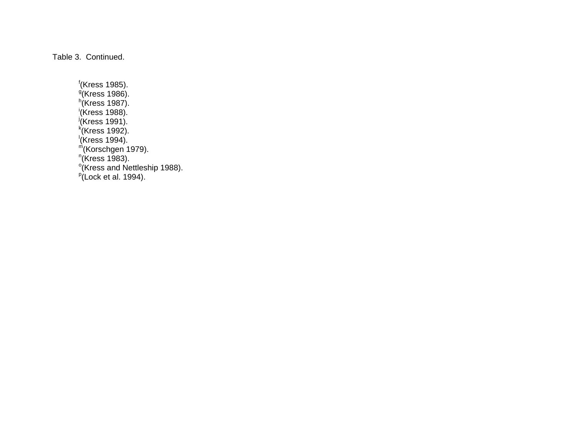Table 3. Continued.

f(Kress 1985). <sup>g</sup>(Kress 1986).  $h$ <sup>(</sup>Kress 1987). i(Kress 1988).  $j$ (Kress 1991).  $k$ <sup>k</sup>(Kress 1992).  $\sqrt{\text{Kress}}$  1994).  $m$ (Korschgen 1979).  $n$ (Kress 1983).  $\frac{\circ}{\cdot}$  (Kress and Nettleship 1988).  $p$ (Lock et al. 1994).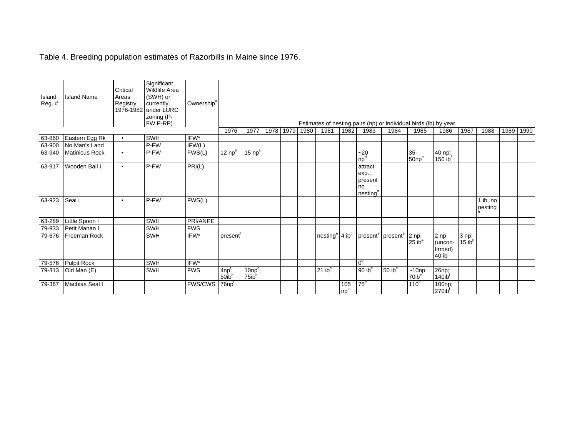## Table 4. Breeding population estimates of Razorbills in Maine since 1976.

| Island<br>Reg. # | <b>Island Name</b> | Critical<br>Areas<br>Registry | Significant<br><b>Wildlife Area</b><br>(SWH) or<br>currently<br>1976-1982 under LURC<br>zoning (P-<br>FW,P-RP) | Ownership <sup>a</sup>     |                                |                                 |           |      |                    |                        |                                                           |                    | Estimates of nesting pairs (np) or individual birds (ib) by year |                                                    |                                 |                     |      |      |
|------------------|--------------------|-------------------------------|----------------------------------------------------------------------------------------------------------------|----------------------------|--------------------------------|---------------------------------|-----------|------|--------------------|------------------------|-----------------------------------------------------------|--------------------|------------------------------------------------------------------|----------------------------------------------------|---------------------------------|---------------------|------|------|
|                  |                    |                               |                                                                                                                |                            | 1976                           | 1977                            | 1978 1979 | 1980 | 1981               | 1982                   | 1983                                                      | 1984               | 1985                                                             | 1986                                               | 1987                            | 1988                | 1989 | 1990 |
| 63-860           | Eastern Egg Rk     | $\bullet$                     | SWH                                                                                                            | IFW*                       |                                |                                 |           |      |                    |                        |                                                           |                    |                                                                  |                                                    |                                 |                     |      |      |
| 63-900           | No Man's Land      |                               | P-FW                                                                                                           | $\overline{\text{IFW}}(L)$ |                                |                                 |           |      |                    |                        |                                                           |                    |                                                                  |                                                    |                                 |                     |      |      |
| 63-940           | Matinicus Rock     | $\bullet$                     | P-FW                                                                                                           | FWS(L)                     | 12 $npb$                       | 15 $npc$                        |           |      |                    |                        | $-20$<br>np <sup>d</sup>                                  |                    | $35-$<br>$50np^e$                                                | 40 np;<br>$150$ ib <sup>f</sup>                    |                                 |                     |      |      |
| 63-917           | Wooden Ball I      | $\bullet$                     | P-FW                                                                                                           | PRI(L)                     |                                |                                 |           |      |                    |                        | attract<br>exp.,<br>present<br>no<br>nesting <sup>d</sup> |                    |                                                                  |                                                    |                                 |                     |      |      |
| 63-923           | Seal I             | $\bullet$                     | P-FW                                                                                                           | FWS(L)                     |                                |                                 |           |      |                    |                        |                                                           |                    |                                                                  |                                                    |                                 | 1 ib, no<br>nesting |      |      |
| 63-289           | Little Spoon I     |                               | SWH                                                                                                            | PRI/ANPE                   |                                |                                 |           |      |                    |                        |                                                           |                    |                                                                  |                                                    |                                 |                     |      |      |
| 79-933           | Petit Manan I      |                               | SWH                                                                                                            | <b>FWS</b>                 |                                |                                 |           |      |                    |                        |                                                           |                    |                                                                  |                                                    |                                 |                     |      |      |
| 79-676           | Freeman Rock       |                               | <b>SWH</b>                                                                                                     | IFW*                       | present                        |                                 |           |      | nesting            | $4$ ib <sup>b</sup>    | present <sup>e</sup> present <sup>e</sup>                 |                    | 2 np;<br>25ib <sup>e</sup>                                       | 2 np<br>(uncon-<br>firmed)<br>$40$ ib <sup>f</sup> | $3$ np;<br>$15$ ib <sup>b</sup> |                     |      |      |
| 79-576           | <b>Pulpit Rock</b> |                               | SWH                                                                                                            | IFW*                       |                                |                                 |           |      |                    |                        | 0 <sup>b</sup>                                            |                    |                                                                  |                                                    |                                 |                     |      |      |
| 79-313           | Old Man (E)        |                               | SWH                                                                                                            | <b>FWS</b>                 | $4np^t$ ;<br>50ib <sup>c</sup> | $10np^c$ ;<br>75ib <sup>b</sup> |           |      | $21$ ib $^{\circ}$ |                        | 90ib <sup>e</sup>                                         | $50$ ib $^{\circ}$ | $~10$ np<br>70ib <sup>e</sup>                                    | 26np;<br>140ib <sup>f</sup>                        |                                 |                     |      |      |
| 79-367           | Machias Seal I     |                               |                                                                                                                | <b>FWS/CWS</b>             | $76$ np $†$                    |                                 |           |      |                    | 105<br>np <sup>e</sup> | $75^{\circ}$                                              |                    | 110 <sup>e</sup>                                                 | $\overline{100}$ np;<br>$270$ ib                   |                                 |                     |      |      |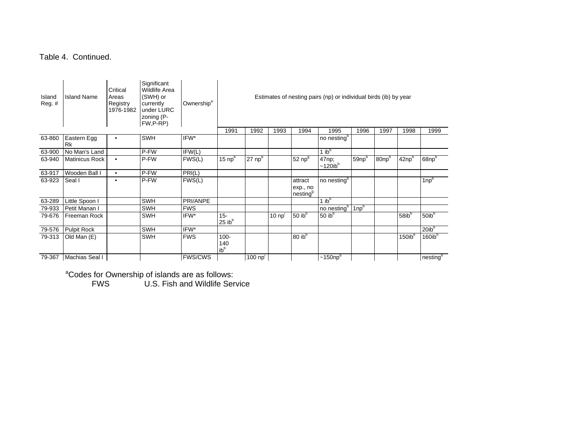## Table 4. Continued.

| Island<br>$Reg.$ # | <b>Island Name</b>       | Critical<br>Areas<br>Registry<br>1976-1982 | Significant<br><b>Wildlife Area</b><br>(SWH) or<br>currently<br>under LURC<br>zoning (P-<br>FW,P-RP) | Ownership <sup>a</sup> | Estimates of nesting pairs (np) or individual birds (ib) by year |                      |                 |                                             |                                 |             |                  |                   |                    |  |
|--------------------|--------------------------|--------------------------------------------|------------------------------------------------------------------------------------------------------|------------------------|------------------------------------------------------------------|----------------------|-----------------|---------------------------------------------|---------------------------------|-------------|------------------|-------------------|--------------------|--|
|                    |                          |                                            |                                                                                                      |                        | 1991                                                             | 1992                 | 1993            | 1994                                        | 1995                            | 1996        | 1997             | 1998              | 1999               |  |
| 63-860             | Eastern Egg<br><b>Rk</b> | $\bullet$                                  | <b>SWH</b>                                                                                           | IFW*                   |                                                                  |                      |                 |                                             | no nesting <sup>b</sup>         |             |                  |                   |                    |  |
| 63-900             | No Man's Land            |                                            | P-FW                                                                                                 | IFW(L)                 |                                                                  |                      |                 |                                             | 1 $ib^b$                        |             |                  |                   |                    |  |
| 63-940             | Matinicus Rock           | $\bullet$                                  | P-FW                                                                                                 | FWS(L)                 | 15 $np^b$                                                        | $27$ np <sup>b</sup> |                 | $52$ np $9$                                 | 47np;<br>$~120$ ib <sup>b</sup> | $59$ np $b$ | 80 <sub>np</sub> | 42np <sup>b</sup> | 68np <sup>b</sup>  |  |
| 63-917             | Wooden Ball I            | $\bullet$                                  | P-FW                                                                                                 | PRI(L)                 |                                                                  |                      |                 |                                             |                                 |             |                  |                   |                    |  |
| 63-923             | Seal I                   | $\bullet$                                  | P-FW                                                                                                 | FWS(L)                 |                                                                  |                      |                 | attract<br>exp., no<br>nesting <sup>9</sup> | no nesting <sup>b</sup>         |             |                  |                   | $1$ np $b$         |  |
| 63-289             | Little Spoon I           |                                            | <b>SWH</b>                                                                                           | PRI/ANPE               |                                                                  |                      |                 |                                             | $1$ ib <sup>b</sup>             |             |                  |                   |                    |  |
| 79-933             | Petit Manan I            |                                            | <b>SWH</b>                                                                                           | <b>FWS</b>             |                                                                  |                      |                 |                                             | no nesting <sup>b</sup>         | $1$ np $b$  |                  |                   |                    |  |
| 79-676             | Freeman Rock             |                                            | <b>SWH</b>                                                                                           | IFW*                   | $15 -$<br>25ib <sup>b</sup>                                      |                      | $10 \text{ np}$ | 50 $ib^b$                                   | 50 $ibb$                        |             |                  | $58$ ib $b$       | 50ib <sup>b</sup>  |  |
| 79-576             | <b>Pulpit Rock</b>       |                                            | <b>SWH</b>                                                                                           | IFW*                   |                                                                  |                      |                 |                                             |                                 |             |                  |                   | 20ib <sup>b</sup>  |  |
| 79-313             | Old Man (E)              |                                            | <b>SWH</b>                                                                                           | <b>FWS</b>             | $100 -$<br>140<br>ib <sup>b</sup>                                |                      |                 | $80$ ib $b$                                 |                                 |             |                  | $150$ ib $b$      | 160ib <sup>b</sup> |  |
| 79-367             | Machias Seal I           |                                            |                                                                                                      | <b>FWS/CWS</b>         |                                                                  | $100$ np $1$         |                 |                                             | $~150n\overline{p}^b$           |             |                  |                   | nestingb           |  |

<sup>a</sup>Codes for Ownership of islands are as follows:

FWS U.S. Fish and Wildlife Service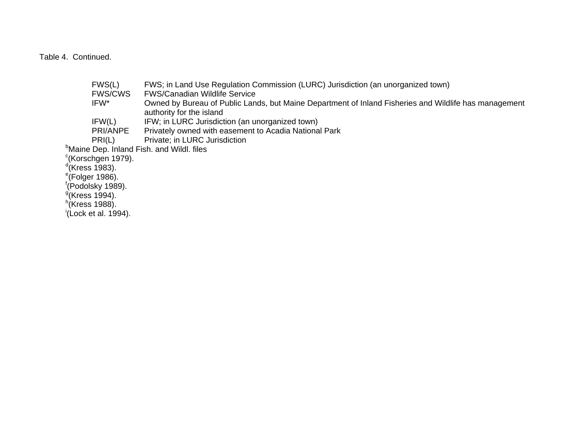Table 4. Continued.

|                               | FWS(L)                         | FWS; in Land Use Regulation Commission (LURC) Jurisdiction (an unorganized town)                      |
|-------------------------------|--------------------------------|-------------------------------------------------------------------------------------------------------|
|                               | <b>FWS/CWS</b>                 | <b>FWS/Canadian Wildlife Service</b>                                                                  |
|                               | IFW*                           | Owned by Bureau of Public Lands, but Maine Department of Inland Fisheries and Wildlife has management |
|                               |                                | authority for the island                                                                              |
|                               | IFW(L)                         | IFW; in LURC Jurisdiction (an unorganized town)                                                       |
|                               | PRI/ANPE                       | Privately owned with easement to Acadia National Park                                                 |
|                               | PRI(L)                         | Private; in LURC Jurisdiction                                                                         |
|                               |                                | <sup>b</sup> Maine Dep. Inland Fish. and Wildl. files                                                 |
|                               | <sup>c</sup> (Korschgen 1979). |                                                                                                       |
| $\mathrm{d}$ (Kress 1983).    |                                |                                                                                                       |
| $\degree$ (Folger 1986).      |                                |                                                                                                       |
| <sup>†</sup> (Podolsky 1989). |                                |                                                                                                       |
| $9$ (Kress 1994).             |                                |                                                                                                       |
| $n$ (Kress 1988).             |                                |                                                                                                       |
|                               | (Lock et al. 1994).            |                                                                                                       |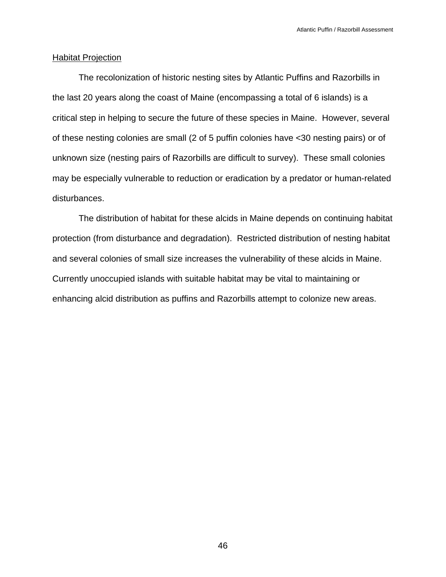## Habitat Projection

 The recolonization of historic nesting sites by Atlantic Puffins and Razorbills in the last 20 years along the coast of Maine (encompassing a total of 6 islands) is a critical step in helping to secure the future of these species in Maine. However, several of these nesting colonies are small (2 of 5 puffin colonies have <30 nesting pairs) or of unknown size (nesting pairs of Razorbills are difficult to survey). These small colonies may be especially vulnerable to reduction or eradication by a predator or human-related disturbances.

 The distribution of habitat for these alcids in Maine depends on continuing habitat protection (from disturbance and degradation). Restricted distribution of nesting habitat and several colonies of small size increases the vulnerability of these alcids in Maine. Currently unoccupied islands with suitable habitat may be vital to maintaining or enhancing alcid distribution as puffins and Razorbills attempt to colonize new areas.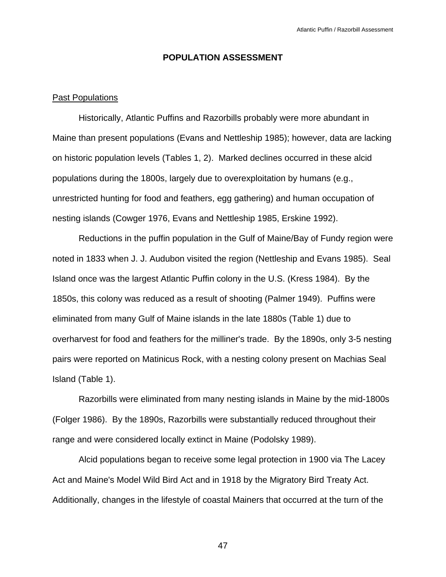## **POPULATION ASSESSMENT**

## Past Populations

 Historically, Atlantic Puffins and Razorbills probably were more abundant in Maine than present populations (Evans and Nettleship 1985); however, data are lacking on historic population levels (Tables 1, 2). Marked declines occurred in these alcid populations during the 1800s, largely due to overexploitation by humans (e.g., unrestricted hunting for food and feathers, egg gathering) and human occupation of nesting islands (Cowger 1976, Evans and Nettleship 1985, Erskine 1992).

 Reductions in the puffin population in the Gulf of Maine/Bay of Fundy region were noted in 1833 when J. J. Audubon visited the region (Nettleship and Evans 1985). Seal Island once was the largest Atlantic Puffin colony in the U.S. (Kress 1984). By the 1850s, this colony was reduced as a result of shooting (Palmer 1949). Puffins were eliminated from many Gulf of Maine islands in the late 1880s (Table 1) due to overharvest for food and feathers for the milliner's trade. By the 1890s, only 3-5 nesting pairs were reported on Matinicus Rock, with a nesting colony present on Machias Seal Island (Table 1).

 Razorbills were eliminated from many nesting islands in Maine by the mid-1800s (Folger 1986). By the 1890s, Razorbills were substantially reduced throughout their range and were considered locally extinct in Maine (Podolsky 1989).

 Alcid populations began to receive some legal protection in 1900 via The Lacey Act and Maine's Model Wild Bird Act and in 1918 by the Migratory Bird Treaty Act. Additionally, changes in the lifestyle of coastal Mainers that occurred at the turn of the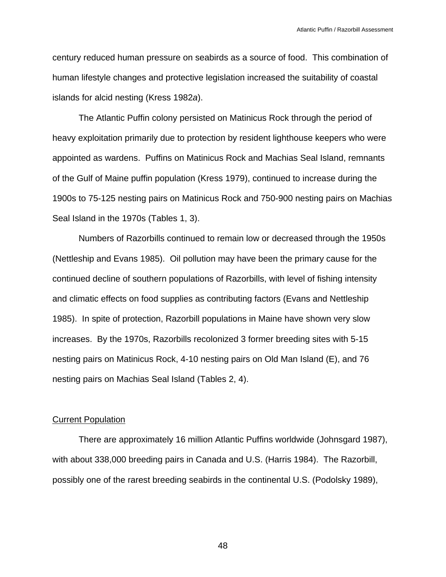century reduced human pressure on seabirds as a source of food. This combination of human lifestyle changes and protective legislation increased the suitability of coastal islands for alcid nesting (Kress 1982*a*).

 The Atlantic Puffin colony persisted on Matinicus Rock through the period of heavy exploitation primarily due to protection by resident lighthouse keepers who were appointed as wardens. Puffins on Matinicus Rock and Machias Seal Island, remnants of the Gulf of Maine puffin population (Kress 1979), continued to increase during the 1900s to 75-125 nesting pairs on Matinicus Rock and 750-900 nesting pairs on Machias Seal Island in the 1970s (Tables 1, 3).

 Numbers of Razorbills continued to remain low or decreased through the 1950s (Nettleship and Evans 1985). Oil pollution may have been the primary cause for the continued decline of southern populations of Razorbills, with level of fishing intensity and climatic effects on food supplies as contributing factors (Evans and Nettleship 1985). In spite of protection, Razorbill populations in Maine have shown very slow increases. By the 1970s, Razorbills recolonized 3 former breeding sites with 5-15 nesting pairs on Matinicus Rock, 4-10 nesting pairs on Old Man Island (E), and 76 nesting pairs on Machias Seal Island (Tables 2, 4).

#### Current Population

 There are approximately 16 million Atlantic Puffins worldwide (Johnsgard 1987), with about 338,000 breeding pairs in Canada and U.S. (Harris 1984). The Razorbill, possibly one of the rarest breeding seabirds in the continental U.S. (Podolsky 1989),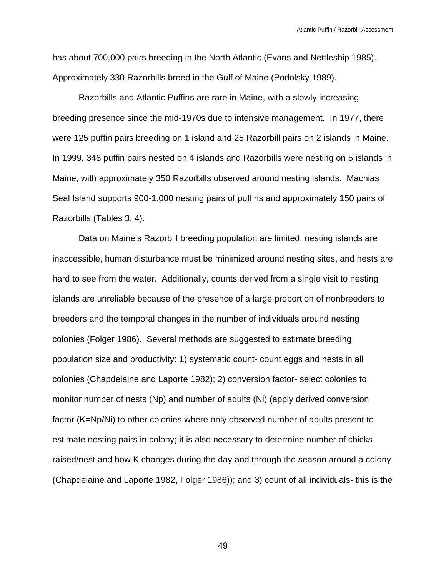has about 700,000 pairs breeding in the North Atlantic (Evans and Nettleship 1985). Approximately 330 Razorbills breed in the Gulf of Maine (Podolsky 1989).

 Razorbills and Atlantic Puffins are rare in Maine, with a slowly increasing breeding presence since the mid-1970s due to intensive management. In 1977, there were 125 puffin pairs breeding on 1 island and 25 Razorbill pairs on 2 islands in Maine. In 1999, 348 puffin pairs nested on 4 islands and Razorbills were nesting on 5 islands in Maine, with approximately 350 Razorbills observed around nesting islands. Machias Seal Island supports 900-1,000 nesting pairs of puffins and approximately 150 pairs of Razorbills (Tables 3, 4).

 Data on Maine's Razorbill breeding population are limited: nesting islands are inaccessible, human disturbance must be minimized around nesting sites, and nests are hard to see from the water. Additionally, counts derived from a single visit to nesting islands are unreliable because of the presence of a large proportion of nonbreeders to breeders and the temporal changes in the number of individuals around nesting colonies (Folger 1986). Several methods are suggested to estimate breeding population size and productivity: 1) systematic count- count eggs and nests in all colonies (Chapdelaine and Laporte 1982); 2) conversion factor- select colonies to monitor number of nests (Np) and number of adults (Ni) (apply derived conversion factor (K=Np/Ni) to other colonies where only observed number of adults present to estimate nesting pairs in colony; it is also necessary to determine number of chicks raised/nest and how K changes during the day and through the season around a colony (Chapdelaine and Laporte 1982, Folger 1986)); and 3) count of all individuals- this is the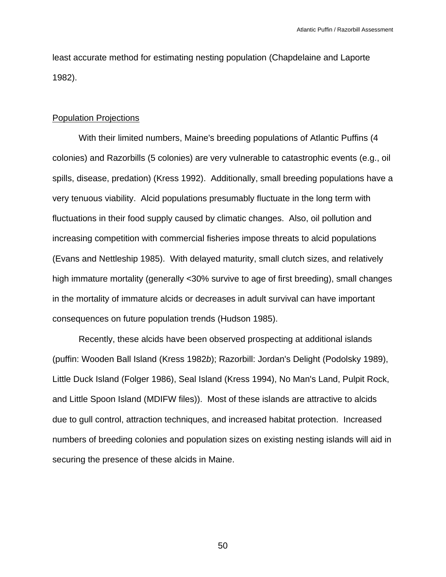least accurate method for estimating nesting population (Chapdelaine and Laporte 1982).

#### Population Projections

 With their limited numbers, Maine's breeding populations of Atlantic Puffins (4 colonies) and Razorbills (5 colonies) are very vulnerable to catastrophic events (e.g., oil spills, disease, predation) (Kress 1992). Additionally, small breeding populations have a very tenuous viability. Alcid populations presumably fluctuate in the long term with fluctuations in their food supply caused by climatic changes. Also, oil pollution and increasing competition with commercial fisheries impose threats to alcid populations (Evans and Nettleship 1985). With delayed maturity, small clutch sizes, and relatively high immature mortality (generally <30% survive to age of first breeding), small changes in the mortality of immature alcids or decreases in adult survival can have important consequences on future population trends (Hudson 1985).

 Recently, these alcids have been observed prospecting at additional islands (puffin: Wooden Ball Island (Kress 1982*b*); Razorbill: Jordan's Delight (Podolsky 1989), Little Duck Island (Folger 1986), Seal Island (Kress 1994), No Man's Land, Pulpit Rock, and Little Spoon Island (MDIFW files)). Most of these islands are attractive to alcids due to gull control, attraction techniques, and increased habitat protection. Increased numbers of breeding colonies and population sizes on existing nesting islands will aid in securing the presence of these alcids in Maine.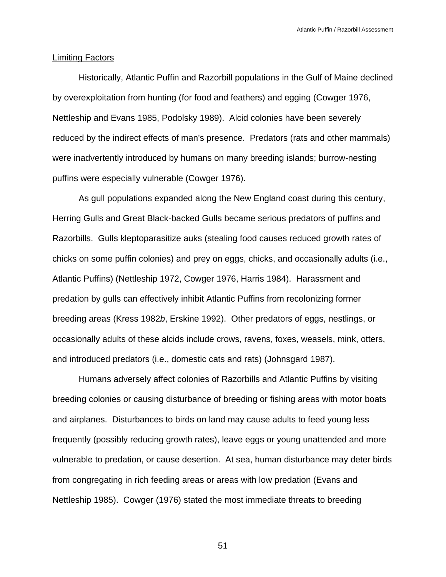#### Limiting Factors

 Historically, Atlantic Puffin and Razorbill populations in the Gulf of Maine declined by overexploitation from hunting (for food and feathers) and egging (Cowger 1976, Nettleship and Evans 1985, Podolsky 1989). Alcid colonies have been severely reduced by the indirect effects of man's presence. Predators (rats and other mammals) were inadvertently introduced by humans on many breeding islands; burrow-nesting puffins were especially vulnerable (Cowger 1976).

 As gull populations expanded along the New England coast during this century, Herring Gulls and Great Black-backed Gulls became serious predators of puffins and Razorbills. Gulls kleptoparasitize auks (stealing food causes reduced growth rates of chicks on some puffin colonies) and prey on eggs, chicks, and occasionally adults (i.e., Atlantic Puffins) (Nettleship 1972, Cowger 1976, Harris 1984). Harassment and predation by gulls can effectively inhibit Atlantic Puffins from recolonizing former breeding areas (Kress 1982*b*, Erskine 1992). Other predators of eggs, nestlings, or occasionally adults of these alcids include crows, ravens, foxes, weasels, mink, otters, and introduced predators (i.e., domestic cats and rats) (Johnsgard 1987).

 Humans adversely affect colonies of Razorbills and Atlantic Puffins by visiting breeding colonies or causing disturbance of breeding or fishing areas with motor boats and airplanes. Disturbances to birds on land may cause adults to feed young less frequently (possibly reducing growth rates), leave eggs or young unattended and more vulnerable to predation, or cause desertion. At sea, human disturbance may deter birds from congregating in rich feeding areas or areas with low predation (Evans and Nettleship 1985). Cowger (1976) stated the most immediate threats to breeding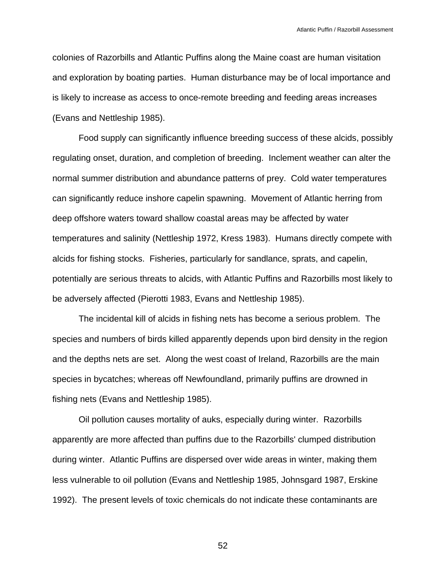colonies of Razorbills and Atlantic Puffins along the Maine coast are human visitation and exploration by boating parties. Human disturbance may be of local importance and is likely to increase as access to once-remote breeding and feeding areas increases (Evans and Nettleship 1985).

 Food supply can significantly influence breeding success of these alcids, possibly regulating onset, duration, and completion of breeding. Inclement weather can alter the normal summer distribution and abundance patterns of prey. Cold water temperatures can significantly reduce inshore capelin spawning. Movement of Atlantic herring from deep offshore waters toward shallow coastal areas may be affected by water temperatures and salinity (Nettleship 1972, Kress 1983). Humans directly compete with alcids for fishing stocks. Fisheries, particularly for sandlance, sprats, and capelin, potentially are serious threats to alcids, with Atlantic Puffins and Razorbills most likely to be adversely affected (Pierotti 1983, Evans and Nettleship 1985).

 The incidental kill of alcids in fishing nets has become a serious problem. The species and numbers of birds killed apparently depends upon bird density in the region and the depths nets are set. Along the west coast of Ireland, Razorbills are the main species in bycatches; whereas off Newfoundland, primarily puffins are drowned in fishing nets (Evans and Nettleship 1985).

 Oil pollution causes mortality of auks, especially during winter. Razorbills apparently are more affected than puffins due to the Razorbills' clumped distribution during winter. Atlantic Puffins are dispersed over wide areas in winter, making them less vulnerable to oil pollution (Evans and Nettleship 1985, Johnsgard 1987, Erskine 1992). The present levels of toxic chemicals do not indicate these contaminants are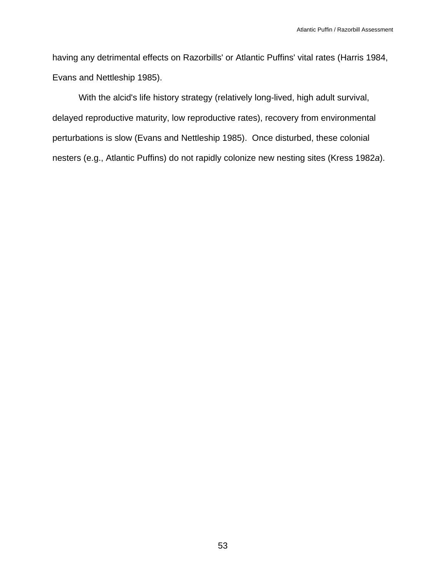having any detrimental effects on Razorbills' or Atlantic Puffins' vital rates (Harris 1984, Evans and Nettleship 1985).

 With the alcid's life history strategy (relatively long-lived, high adult survival, delayed reproductive maturity, low reproductive rates), recovery from environmental perturbations is slow (Evans and Nettleship 1985). Once disturbed, these colonial nesters (e.g., Atlantic Puffins) do not rapidly colonize new nesting sites (Kress 1982*a*).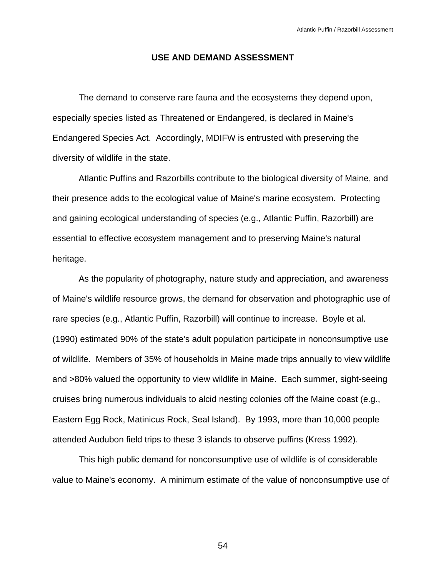#### **USE AND DEMAND ASSESSMENT**

 The demand to conserve rare fauna and the ecosystems they depend upon, especially species listed as Threatened or Endangered, is declared in Maine's Endangered Species Act. Accordingly, MDIFW is entrusted with preserving the diversity of wildlife in the state.

 Atlantic Puffins and Razorbills contribute to the biological diversity of Maine, and their presence adds to the ecological value of Maine's marine ecosystem. Protecting and gaining ecological understanding of species (e.g., Atlantic Puffin, Razorbill) are essential to effective ecosystem management and to preserving Maine's natural heritage.

 As the popularity of photography, nature study and appreciation, and awareness of Maine's wildlife resource grows, the demand for observation and photographic use of rare species (e.g., Atlantic Puffin, Razorbill) will continue to increase. Boyle et al. (1990) estimated 90% of the state's adult population participate in nonconsumptive use of wildlife. Members of 35% of households in Maine made trips annually to view wildlife and >80% valued the opportunity to view wildlife in Maine. Each summer, sight-seeing cruises bring numerous individuals to alcid nesting colonies off the Maine coast (e.g., Eastern Egg Rock, Matinicus Rock, Seal Island). By 1993, more than 10,000 people attended Audubon field trips to these 3 islands to observe puffins (Kress 1992).

 This high public demand for nonconsumptive use of wildlife is of considerable value to Maine's economy. A minimum estimate of the value of nonconsumptive use of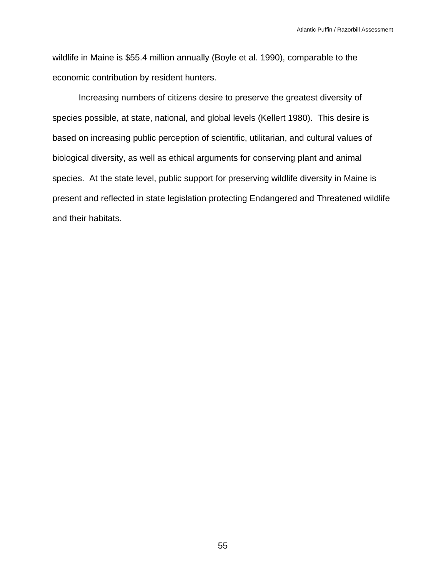wildlife in Maine is \$55.4 million annually (Boyle et al. 1990), comparable to the economic contribution by resident hunters.

 Increasing numbers of citizens desire to preserve the greatest diversity of species possible, at state, national, and global levels (Kellert 1980). This desire is based on increasing public perception of scientific, utilitarian, and cultural values of biological diversity, as well as ethical arguments for conserving plant and animal species. At the state level, public support for preserving wildlife diversity in Maine is present and reflected in state legislation protecting Endangered and Threatened wildlife and their habitats.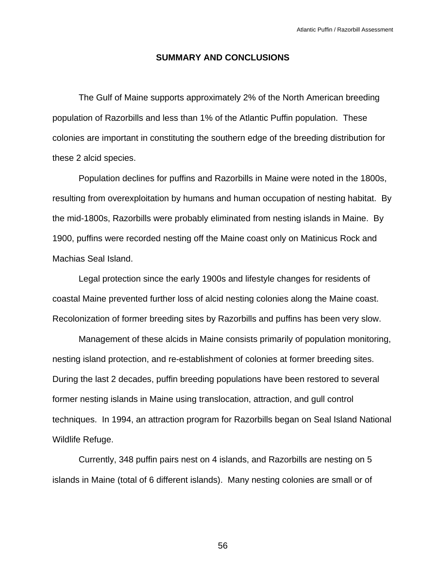## **SUMMARY AND CONCLUSIONS**

 The Gulf of Maine supports approximately 2% of the North American breeding population of Razorbills and less than 1% of the Atlantic Puffin population. These colonies are important in constituting the southern edge of the breeding distribution for these 2 alcid species.

 Population declines for puffins and Razorbills in Maine were noted in the 1800s, resulting from overexploitation by humans and human occupation of nesting habitat. By the mid-1800s, Razorbills were probably eliminated from nesting islands in Maine. By 1900, puffins were recorded nesting off the Maine coast only on Matinicus Rock and Machias Seal Island.

 Legal protection since the early 1900s and lifestyle changes for residents of coastal Maine prevented further loss of alcid nesting colonies along the Maine coast. Recolonization of former breeding sites by Razorbills and puffins has been very slow.

 Management of these alcids in Maine consists primarily of population monitoring, nesting island protection, and re-establishment of colonies at former breeding sites. During the last 2 decades, puffin breeding populations have been restored to several former nesting islands in Maine using translocation, attraction, and gull control techniques. In 1994, an attraction program for Razorbills began on Seal Island National Wildlife Refuge.

 Currently, 348 puffin pairs nest on 4 islands, and Razorbills are nesting on 5 islands in Maine (total of 6 different islands). Many nesting colonies are small or of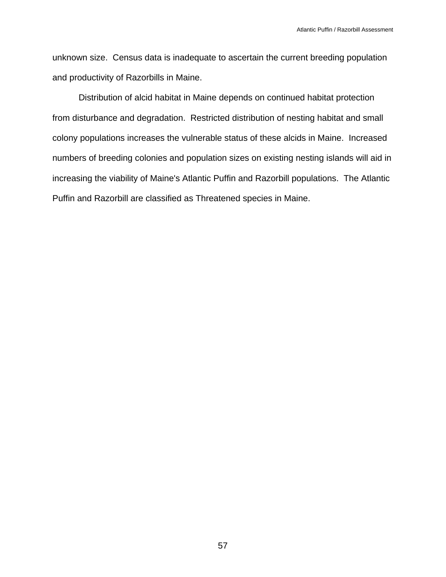unknown size. Census data is inadequate to ascertain the current breeding population and productivity of Razorbills in Maine.

 Distribution of alcid habitat in Maine depends on continued habitat protection from disturbance and degradation. Restricted distribution of nesting habitat and small colony populations increases the vulnerable status of these alcids in Maine. Increased numbers of breeding colonies and population sizes on existing nesting islands will aid in increasing the viability of Maine's Atlantic Puffin and Razorbill populations. The Atlantic Puffin and Razorbill are classified as Threatened species in Maine.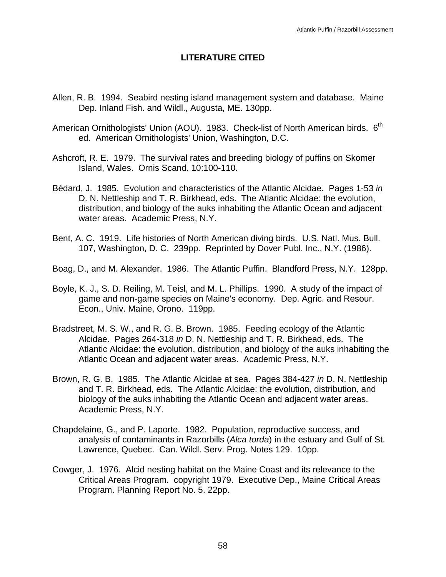## **LITERATURE CITED**

- Allen, R. B. 1994. Seabird nesting island management system and database. Maine Dep. Inland Fish. and Wildl., Augusta, ME. 130pp.
- American Ornithologists' Union (AOU). 1983. Check-list of North American birds.  $6<sup>th</sup>$ ed. American Ornithologists' Union, Washington, D.C.
- Ashcroft, R. E. 1979. The survival rates and breeding biology of puffins on Skomer Island, Wales. Ornis Scand. 10:100-110.
- Bédard, J. 1985. Evolution and characteristics of the Atlantic Alcidae. Pages 1-53 *in* D. N. Nettleship and T. R. Birkhead, eds. The Atlantic Alcidae: the evolution, distribution, and biology of the auks inhabiting the Atlantic Ocean and adjacent water areas. Academic Press, N.Y.
- Bent, A. C. 1919. Life histories of North American diving birds. U.S. Natl. Mus. Bull. 107, Washington, D. C. 239pp. Reprinted by Dover Publ. Inc., N.Y. (1986).
- Boag, D., and M. Alexander. 1986. The Atlantic Puffin. Blandford Press, N.Y. 128pp.
- Boyle, K. J., S. D. Reiling, M. Teisl, and M. L. Phillips. 1990. A study of the impact of game and non-game species on Maine's economy. Dep. Agric. and Resour. Econ., Univ. Maine, Orono. 119pp.
- Bradstreet, M. S. W., and R. G. B. Brown. 1985. Feeding ecology of the Atlantic Alcidae. Pages 264-318 *in* D. N. Nettleship and T. R. Birkhead, eds. The Atlantic Alcidae: the evolution, distribution, and biology of the auks inhabiting the Atlantic Ocean and adjacent water areas. Academic Press, N.Y.
- Brown, R. G. B. 1985. The Atlantic Alcidae at sea. Pages 384-427 *in* D. N. Nettleship and T. R. Birkhead, eds. The Atlantic Alcidae: the evolution, distribution, and biology of the auks inhabiting the Atlantic Ocean and adjacent water areas. Academic Press, N.Y.
- Chapdelaine, G., and P. Laporte. 1982. Population, reproductive success, and analysis of contaminants in Razorbills (*Alca torda*) in the estuary and Gulf of St. Lawrence, Quebec. Can. Wildl. Serv. Prog. Notes 129. 10pp.
- Cowger, J. 1976. Alcid nesting habitat on the Maine Coast and its relevance to the Critical Areas Program. copyright 1979. Executive Dep., Maine Critical Areas Program. Planning Report No. 5. 22pp.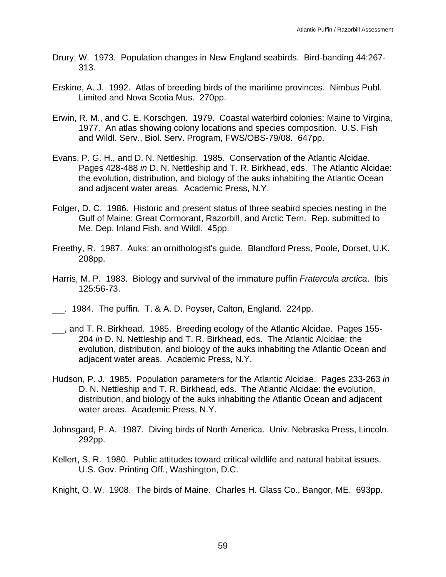- Drury, W. 1973. Population changes in New England seabirds. Bird-banding 44:267- 313.
- Erskine, A. J. 1992. Atlas of breeding birds of the maritime provinces. Nimbus Publ. Limited and Nova Scotia Mus. 270pp.
- Erwin, R. M., and C. E. Korschgen. 1979. Coastal waterbird colonies: Maine to Virgina, 1977. An atlas showing colony locations and species composition. U.S. Fish and Wildl. Serv., Biol. Serv. Program, FWS/OBS-79/08. 647pp.
- Evans, P. G. H., and D. N. Nettleship. 1985. Conservation of the Atlantic Alcidae. Pages 428-488 *in* D. N. Nettleship and T. R. Birkhead, eds. The Atlantic Alcidae: the evolution, distribution, and biology of the auks inhabiting the Atlantic Ocean and adjacent water areas. Academic Press, N.Y.
- Folger, D. C. 1986. Historic and present status of three seabird species nesting in the Gulf of Maine: Great Cormorant, Razorbill, and Arctic Tern. Rep. submitted to Me. Dep. Inland Fish. and Wildl. 45pp.
- Freethy, R. 1987. Auks: an ornithologist's guide. Blandford Press, Poole, Dorset, U.K. 208pp.
- Harris, M. P. 1983. Biology and survival of the immature puffin *Fratercula arctica*. Ibis 125:56-73.
- . 1984. The puffin. T. & A. D. Poyser, Calton, England. 224pp.
- , and T. R. Birkhead. 1985. Breeding ecology of the Atlantic Alcidae. Pages 155- 204 *in* D. N. Nettleship and T. R. Birkhead, eds. The Atlantic Alcidae: the evolution, distribution, and biology of the auks inhabiting the Atlantic Ocean and adjacent water areas. Academic Press, N.Y.
- Hudson, P. J. 1985. Population parameters for the Atlantic Alcidae. Pages 233-263 *in* D. N. Nettleship and T. R. Birkhead, eds. The Atlantic Alcidae: the evolution, distribution, and biology of the auks inhabiting the Atlantic Ocean and adjacent water areas. Academic Press, N.Y.
- Johnsgard, P. A. 1987. Diving birds of North America. Univ. Nebraska Press, Lincoln. 292pp.
- Kellert, S. R. 1980. Public attitudes toward critical wildlife and natural habitat issues. U.S. Gov. Printing Off., Washington, D.C.

Knight, O. W. 1908. The birds of Maine. Charles H. Glass Co., Bangor, ME. 693pp.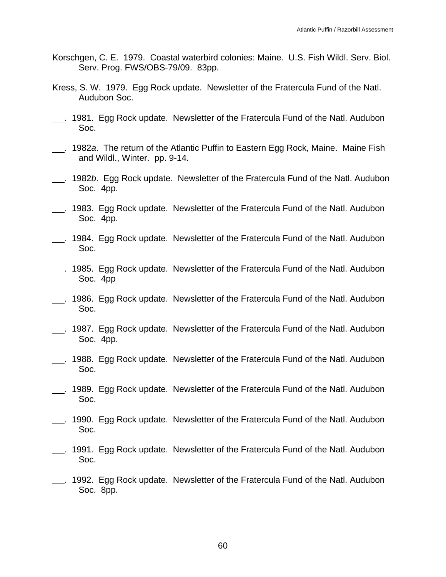- Korschgen, C. E. 1979. Coastal waterbird colonies: Maine. U.S. Fish Wildl. Serv. Biol. Serv. Prog. FWS/OBS-79/09. 83pp.
- Kress, S. W. 1979. Egg Rock update. Newsletter of the Fratercula Fund of the Natl. Audubon Soc.
- . 1981. Egg Rock update. Newsletter of the Fratercula Fund of the Natl. Audubon Soc.
- . 1982*a*. The return of the Atlantic Puffin to Eastern Egg Rock, Maine. Maine Fish and Wildl., Winter. pp. 9-14.
- . 1982*b*. Egg Rock update. Newsletter of the Fratercula Fund of the Natl. Audubon Soc. 4pp.
- . 1983. Egg Rock update. Newsletter of the Fratercula Fund of the Natl. Audubon Soc. 4pp.
- 1984. Egg Rock update. Newsletter of the Fratercula Fund of the Natl. Audubon Soc.
- . 1985. Egg Rock update. Newsletter of the Fratercula Fund of the Natl. Audubon Soc. 4pp
- . 1986. Egg Rock update. Newsletter of the Fratercula Fund of the Natl. Audubon Soc.
- . 1987. Egg Rock update. Newsletter of the Fratercula Fund of the Natl. Audubon Soc. 4pp.
- . 1988. Egg Rock update. Newsletter of the Fratercula Fund of the Natl. Audubon Soc.
- . 1989. Egg Rock update. Newsletter of the Fratercula Fund of the Natl. Audubon Soc.
- . 1990. Egg Rock update. Newsletter of the Fratercula Fund of the Natl. Audubon Soc.
- . 1991. Egg Rock update. Newsletter of the Fratercula Fund of the Natl. Audubon Soc.
- . 1992. Egg Rock update. Newsletter of the Fratercula Fund of the Natl. Audubon Soc. 8pp.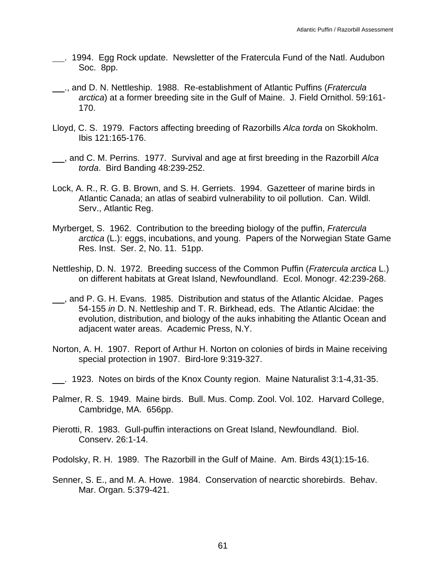- . 1994. Egg Rock update. Newsletter of the Fratercula Fund of the Natl. Audubon Soc. 8pp.
- ., and D. N. Nettleship. 1988. Re-establishment of Atlantic Puffins (*Fratercula arctica*) at a former breeding site in the Gulf of Maine. J. Field Ornithol. 59:161- 170.
- Lloyd, C. S. 1979. Factors affecting breeding of Razorbills *Alca torda* on Skokholm. Ibis 121:165-176.
- , and C. M. Perrins. 1977. Survival and age at first breeding in the Razorbill *Alca torda*. Bird Banding 48:239-252.
- Lock, A. R., R. G. B. Brown, and S. H. Gerriets. 1994. Gazetteer of marine birds in Atlantic Canada; an atlas of seabird vulnerability to oil pollution. Can. Wildl. Serv., Atlantic Reg.
- Myrberget, S. 1962. Contribution to the breeding biology of the puffin, *Fratercula arctica* (L.): eggs, incubations, and young. Papers of the Norwegian State Game Res. Inst. Ser. 2, No. 11. 51pp.
- Nettleship, D. N. 1972. Breeding success of the Common Puffin (*Fratercula arctica* L.) on different habitats at Great Island, Newfoundland. Ecol. Monogr. 42:239-268.
- , and P. G. H. Evans. 1985. Distribution and status of the Atlantic Alcidae. Pages 54-155 *in* D. N. Nettleship and T. R. Birkhead, eds. The Atlantic Alcidae: the evolution, distribution, and biology of the auks inhabiting the Atlantic Ocean and adjacent water areas. Academic Press, N.Y.
- Norton, A. H. 1907. Report of Arthur H. Norton on colonies of birds in Maine receiving special protection in 1907. Bird-lore 9:319-327.
- . 1923. Notes on birds of the Knox County region. Maine Naturalist 3:1-4,31-35.
- Palmer, R. S. 1949. Maine birds. Bull. Mus. Comp. Zool. Vol. 102. Harvard College, Cambridge, MA. 656pp.
- Pierotti, R. 1983. Gull-puffin interactions on Great Island, Newfoundland. Biol. Conserv. 26:1-14.
- Podolsky, R. H. 1989. The Razorbill in the Gulf of Maine. Am. Birds 43(1):15-16.
- Senner, S. E., and M. A. Howe. 1984. Conservation of nearctic shorebirds. Behav. Mar. Organ. 5:379-421.